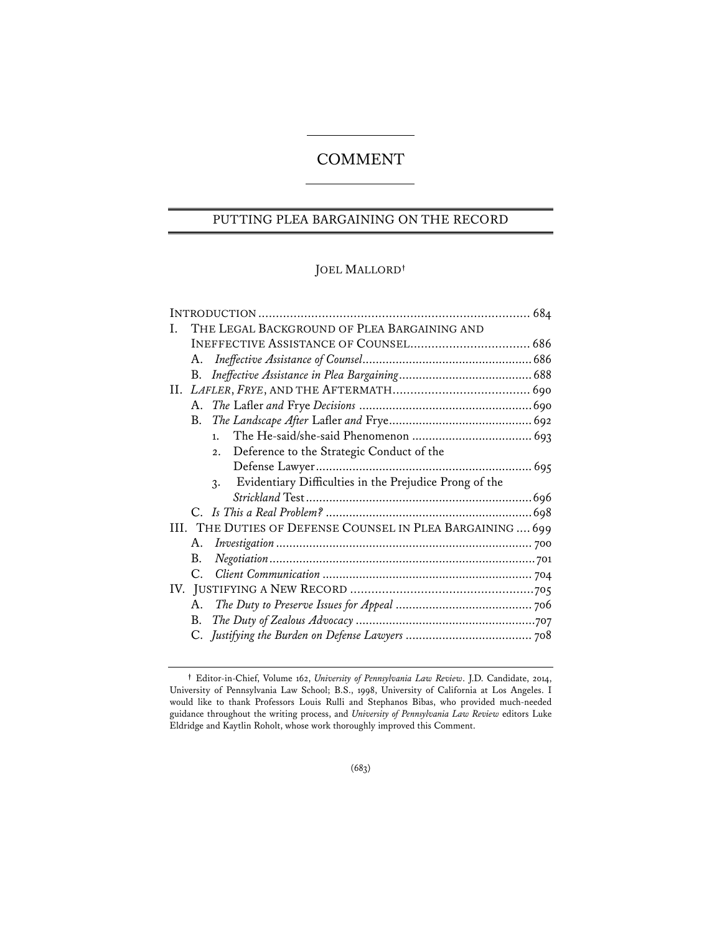# COMMENT

# PUTTING PLEA BARGAINING ON THE RECORD

# JOEL MALLORD**†**

| Ι. | THE LEGAL BACKGROUND OF PLEA BARGAINING AND |                                                              |  |
|----|---------------------------------------------|--------------------------------------------------------------|--|
|    |                                             |                                                              |  |
|    | A.                                          |                                                              |  |
|    | В.                                          |                                                              |  |
|    |                                             |                                                              |  |
|    |                                             |                                                              |  |
|    | B.                                          |                                                              |  |
|    |                                             | 1.                                                           |  |
|    |                                             | Deference to the Strategic Conduct of the<br>2.              |  |
|    |                                             |                                                              |  |
|    |                                             | Evidentiary Difficulties in the Prejudice Prong of the<br>3. |  |
|    |                                             |                                                              |  |
|    |                                             |                                                              |  |
|    |                                             | III. THE DUTIES OF DEFENSE COUNSEL IN PLEA BARGAINING  699   |  |
|    | $A_{-}$                                     |                                                              |  |
|    | В.                                          |                                                              |  |
|    | C.                                          |                                                              |  |
|    |                                             |                                                              |  |
|    | $A_{\cdot}$                                 |                                                              |  |
|    | В.                                          |                                                              |  |
|    |                                             |                                                              |  |
|    |                                             |                                                              |  |

**<sup>†</sup>** Editor-in-Chief, Volume 162, *University of Pennsylvania Law Review*. J.D. Candidate, 2014, University of Pennsylvania Law School; B.S., 1998, University of California at Los Angeles. I would like to thank Professors Louis Rulli and Stephanos Bibas, who provided much-needed guidance throughout the writing process, and *University of Pennsylvania Law Review* editors Luke Eldridge and Kaytlin Roholt, whose work thoroughly improved this Comment.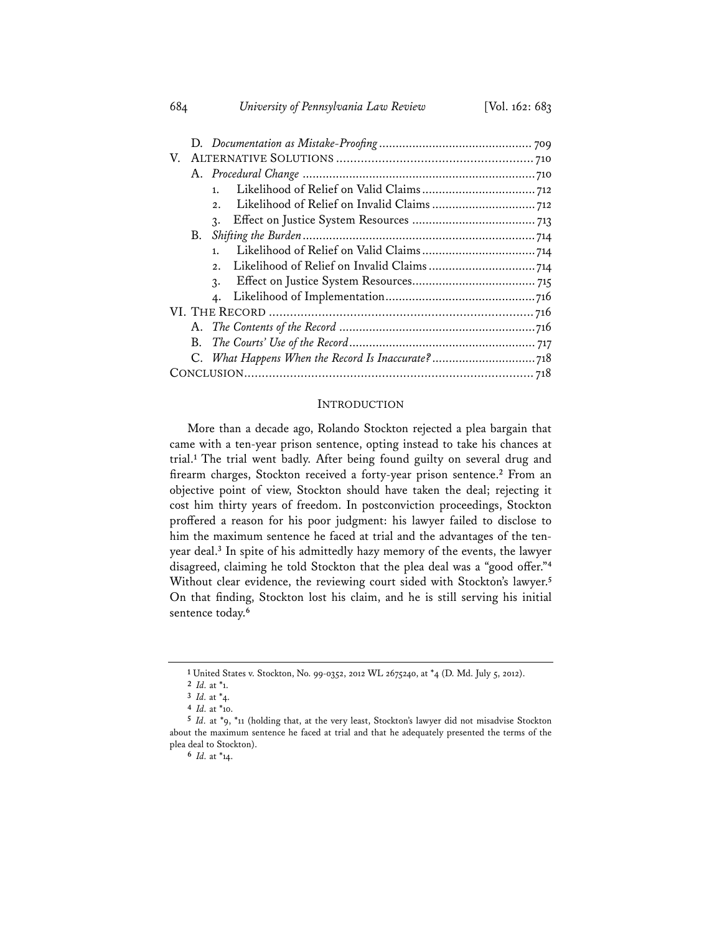| V.              |  |  |  |
|-----------------|--|--|--|
|                 |  |  |  |
| 1.              |  |  |  |
| 2.              |  |  |  |
| $\mathcal{R}$ . |  |  |  |
| B.              |  |  |  |
| 1.              |  |  |  |
| 2.              |  |  |  |
| $\mathcal{R}$ . |  |  |  |
|                 |  |  |  |
|                 |  |  |  |
|                 |  |  |  |
| B.              |  |  |  |
|                 |  |  |  |
|                 |  |  |  |

#### INTRODUCTION

More than a decade ago, Rolando Stockton rejected a plea bargain that came with a ten-year prison sentence, opting instead to take his chances at trial.**<sup>1</sup>** The trial went badly. After being found guilty on several drug and firearm charges, Stockton received a forty-year prison sentence.**<sup>2</sup>** From an objective point of view, Stockton should have taken the deal; rejecting it cost him thirty years of freedom. In postconviction proceedings, Stockton proffered a reason for his poor judgment: his lawyer failed to disclose to him the maximum sentence he faced at trial and the advantages of the tenyear deal.**<sup>3</sup>** In spite of his admittedly hazy memory of the events, the lawyer disagreed, claiming he told Stockton that the plea deal was a "good offer."**<sup>4</sup>** Without clear evidence, the reviewing court sided with Stockton's lawyer.**<sup>5</sup>** On that finding, Stockton lost his claim, and he is still serving his initial sentence today.**<sup>6</sup>**

**6** *Id.* at \*14.

# 684 *University of Pennsylvania Law Review* [Vol. 162: 683

**<sup>1</sup>** United States v. Stockton, No. 99-0352, 2012 WL 2675240, at \*4 (D. Md. July 5, 2012).

**<sup>2</sup>** *Id.* at \*1.

**<sup>3</sup>** *Id.* at \*4.

**<sup>4</sup>** *Id.* at \*10.

**<sup>5</sup>** *Id.* at \*9, \*11 (holding that, at the very least, Stockton's lawyer did not misadvise Stockton about the maximum sentence he faced at trial and that he adequately presented the terms of the plea deal to Stockton).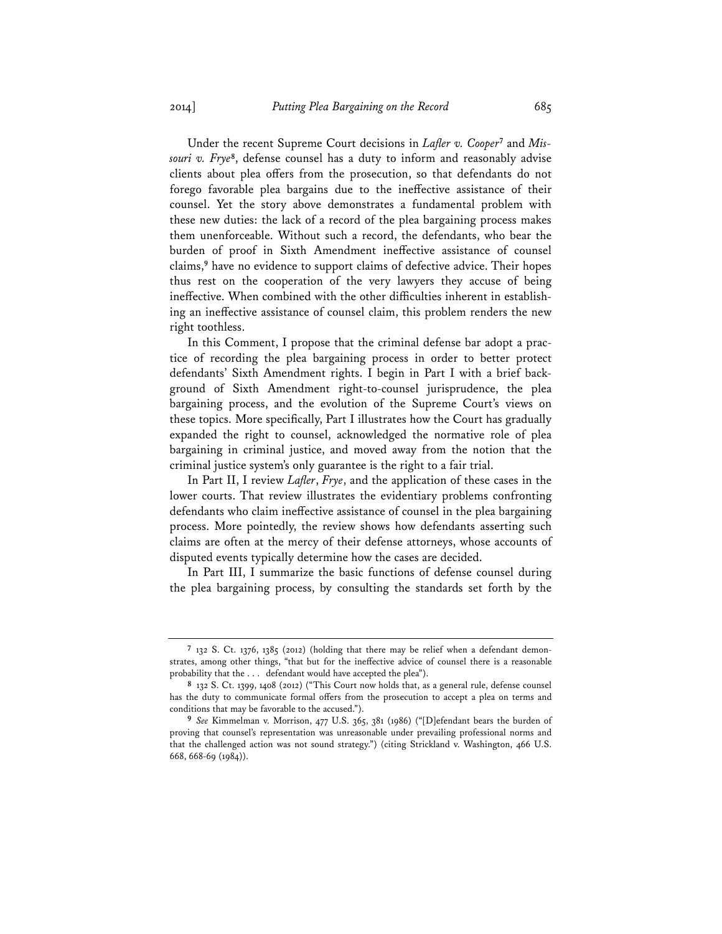Under the recent Supreme Court decisions in *Lafler v. Cooper***7** and *Missouri v. Frye***<sup>8</sup>**, defense counsel has a duty to inform and reasonably advise clients about plea offers from the prosecution, so that defendants do not forego favorable plea bargains due to the ineffective assistance of their counsel. Yet the story above demonstrates a fundamental problem with these new duties: the lack of a record of the plea bargaining process makes them unenforceable. Without such a record, the defendants, who bear the burden of proof in Sixth Amendment ineffective assistance of counsel claims,**<sup>9</sup>** have no evidence to support claims of defective advice. Their hopes thus rest on the cooperation of the very lawyers they accuse of being ineffective. When combined with the other difficulties inherent in establishing an ineffective assistance of counsel claim, this problem renders the new right toothless.

In this Comment, I propose that the criminal defense bar adopt a practice of recording the plea bargaining process in order to better protect defendants' Sixth Amendment rights. I begin in Part I with a brief background of Sixth Amendment right-to-counsel jurisprudence, the plea bargaining process, and the evolution of the Supreme Court's views on these topics. More specifically, Part I illustrates how the Court has gradually expanded the right to counsel, acknowledged the normative role of plea bargaining in criminal justice, and moved away from the notion that the criminal justice system's only guarantee is the right to a fair trial.

In Part II, I review *Lafler*, *Frye*, and the application of these cases in the lower courts. That review illustrates the evidentiary problems confronting defendants who claim ineffective assistance of counsel in the plea bargaining process. More pointedly, the review shows how defendants asserting such claims are often at the mercy of their defense attorneys, whose accounts of disputed events typically determine how the cases are decided.

In Part III, I summarize the basic functions of defense counsel during the plea bargaining process, by consulting the standards set forth by the

**<sup>7</sup>** 132 S. Ct. 1376, 1385 (2012) (holding that there may be relief when a defendant demonstrates, among other things, "that but for the ineffective advice of counsel there is a reasonable probability that the . . . defendant would have accepted the plea").

**<sup>8</sup>** 132 S. Ct. 1399, 1408 (2012) ("This Court now holds that, as a general rule, defense counsel has the duty to communicate formal offers from the prosecution to accept a plea on terms and conditions that may be favorable to the accused.").

**<sup>9</sup>** *See* Kimmelman v. Morrison, 477 U.S. 365, 381 (1986) ("[D]efendant bears the burden of proving that counsel's representation was unreasonable under prevailing professional norms and that the challenged action was not sound strategy.") (citing Strickland v. Washington, 466 U.S. 668, 668-69 (1984)).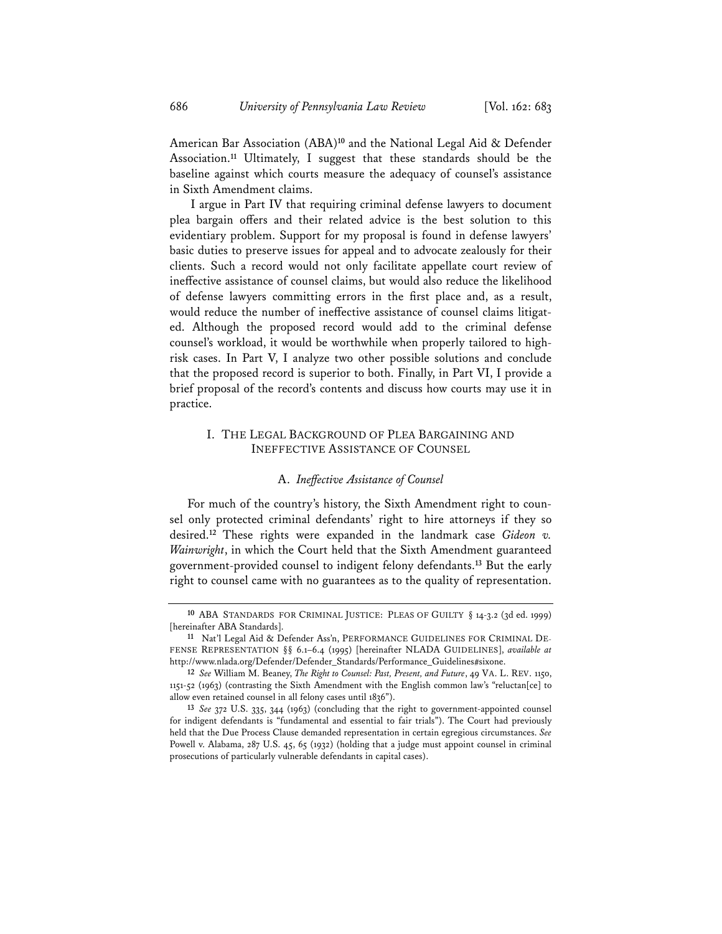American Bar Association (ABA)**<sup>10</sup>** and the National Legal Aid & Defender Association.**<sup>11</sup>** Ultimately, I suggest that these standards should be the baseline against which courts measure the adequacy of counsel's assistance in Sixth Amendment claims.

 I argue in Part IV that requiring criminal defense lawyers to document plea bargain offers and their related advice is the best solution to this evidentiary problem. Support for my proposal is found in defense lawyers' basic duties to preserve issues for appeal and to advocate zealously for their clients. Such a record would not only facilitate appellate court review of ineffective assistance of counsel claims, but would also reduce the likelihood of defense lawyers committing errors in the first place and, as a result, would reduce the number of ineffective assistance of counsel claims litigated. Although the proposed record would add to the criminal defense counsel's workload, it would be worthwhile when properly tailored to highrisk cases. In Part V, I analyze two other possible solutions and conclude that the proposed record is superior to both. Finally, in Part VI, I provide a brief proposal of the record's contents and discuss how courts may use it in practice.

# I. THE LEGAL BACKGROUND OF PLEA BARGAINING AND INEFFECTIVE ASSISTANCE OF COUNSEL

#### A. *Ineffective Assistance of Counsel*

For much of the country's history, the Sixth Amendment right to counsel only protected criminal defendants' right to hire attorneys if they so desired.**<sup>12</sup>** These rights were expanded in the landmark case *Gideon v. Wainwright*, in which the Court held that the Sixth Amendment guaranteed government-provided counsel to indigent felony defendants.**<sup>13</sup>** But the early right to counsel came with no guarantees as to the quality of representation.

**<sup>10</sup>** ABA STANDARDS FOR CRIMINAL JUSTICE: PLEAS OF GUILTY § 14-3.2 (3d ed. 1999) [hereinafter ABA Standards].

**<sup>11</sup>** Nat'l Legal Aid & Defender Ass'n, PERFORMANCE GUIDELINES FOR CRIMINAL DE-FENSE REPRESENTATION §§ 6.1–6.4 (1995) [hereinafter NLADA GUIDELINES], *available at* http://www.nlada.org/Defender/Defender\_Standards/Performance\_Guidelines#sixone.

**<sup>12</sup>** *See* William M. Beaney, *The Right to Counsel: Past, Present, and Future*, 49 VA. L. REV. 1150, 1151-52 (1963) (contrasting the Sixth Amendment with the English common law's "reluctan[ce] to allow even retained counsel in all felony cases until 1836").

**<sup>13</sup>** *See* 372 U.S. 335, 344 (1963) (concluding that the right to government-appointed counsel for indigent defendants is "fundamental and essential to fair trials"). The Court had previously held that the Due Process Clause demanded representation in certain egregious circumstances. *See* Powell v. Alabama, 287 U.S. 45, 65 (1932) (holding that a judge must appoint counsel in criminal prosecutions of particularly vulnerable defendants in capital cases).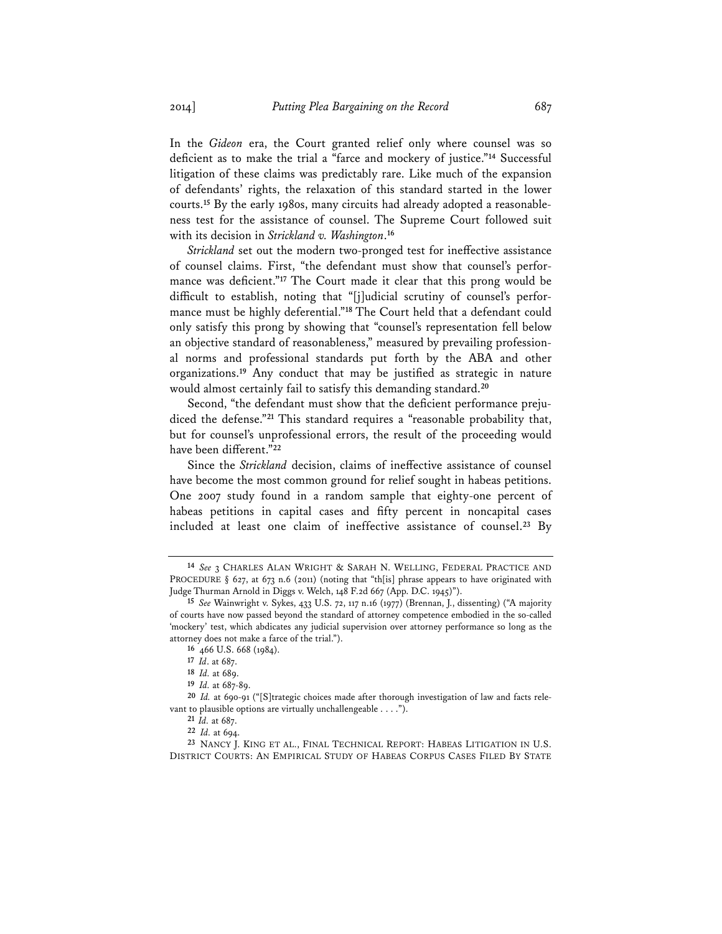In the *Gideon* era, the Court granted relief only where counsel was so deficient as to make the trial a "farce and mockery of justice."**<sup>14</sup>** Successful litigation of these claims was predictably rare. Like much of the expansion of defendants' rights, the relaxation of this standard started in the lower courts.**15** By the early 1980s, many circuits had already adopted a reasonableness test for the assistance of counsel. The Supreme Court followed suit with its decision in *Strickland v. Washington*. **16**

*Strickland* set out the modern two-pronged test for ineffective assistance of counsel claims. First, "the defendant must show that counsel's performance was deficient."**<sup>17</sup>** The Court made it clear that this prong would be difficult to establish, noting that "[j]udicial scrutiny of counsel's performance must be highly deferential."**<sup>18</sup>** The Court held that a defendant could only satisfy this prong by showing that "counsel's representation fell below an objective standard of reasonableness," measured by prevailing professional norms and professional standards put forth by the ABA and other organizations.**<sup>19</sup>** Any conduct that may be justified as strategic in nature would almost certainly fail to satisfy this demanding standard.**<sup>20</sup>**

Second, "the defendant must show that the deficient performance prejudiced the defense."**<sup>21</sup>** This standard requires a "reasonable probability that, but for counsel's unprofessional errors, the result of the proceeding would have been different."**<sup>22</sup>**

Since the *Strickland* decision, claims of ineffective assistance of counsel have become the most common ground for relief sought in habeas petitions. One 2007 study found in a random sample that eighty-one percent of habeas petitions in capital cases and fifty percent in noncapital cases included at least one claim of ineffective assistance of counsel.**<sup>23</sup>** By

**<sup>14</sup>** *See* 3 CHARLES ALAN WRIGHT & SARAH N. WELLING, FEDERAL PRACTICE AND PROCEDURE § 627, at 673 n.6 (2011) (noting that "th[is] phrase appears to have originated with Judge Thurman Arnold in Diggs v. Welch, 148 F.2d 667 (App. D.C. 1945)").

**<sup>15</sup>** *See* Wainwright v. Sykes, 433 U.S. 72, 117 n.16 (1977) (Brennan, J., dissenting) ("A majority of courts have now passed beyond the standard of attorney competence embodied in the so-called 'mockery' test, which abdicates any judicial supervision over attorney performance so long as the attorney does not make a farce of the trial.").

**<sup>16</sup>** 466 U.S. 668 (1984).

**<sup>17</sup>** *Id*. at 687.

**<sup>18</sup>** *Id.* at 689.

**<sup>19</sup>** *Id.* at 687-89.

**<sup>20</sup>** *Id.* at 690-91 ("[S]trategic choices made after thorough investigation of law and facts relevant to plausible options are virtually unchallengeable . . . .").

**<sup>21</sup>** *Id.* at 687.

**<sup>22</sup>** *Id.* at 694.

**<sup>23</sup>** NANCY J. KING ET AL., FINAL TECHNICAL REPORT: HABEAS LITIGATION IN U.S. DISTRICT COURTS: AN EMPIRICAL STUDY OF HABEAS CORPUS CASES FILED BY STATE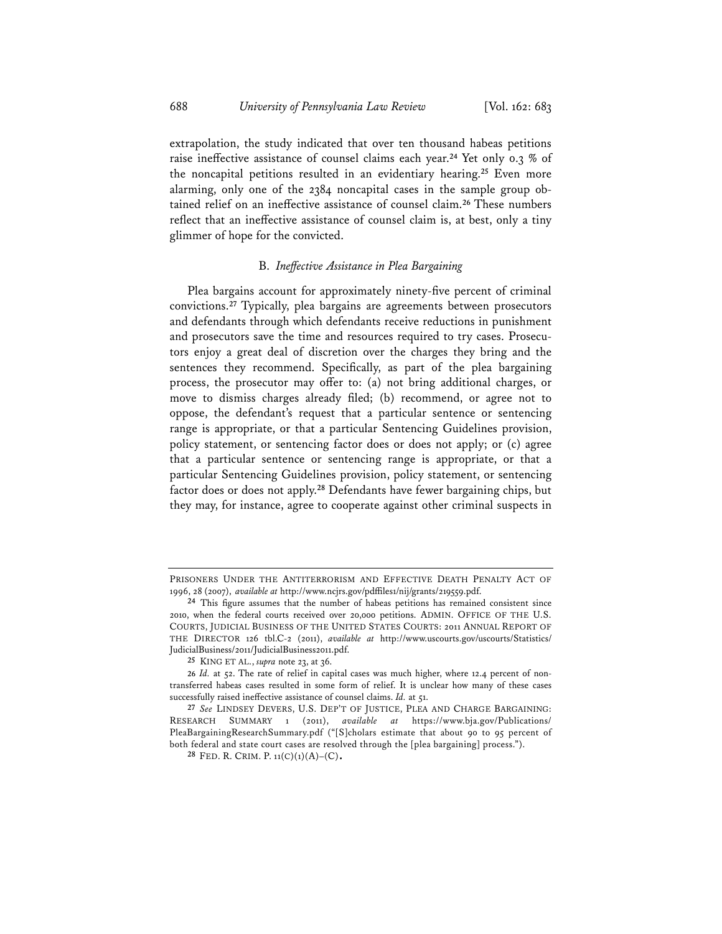extrapolation, the study indicated that over ten thousand habeas petitions raise ineffective assistance of counsel claims each year.**<sup>24</sup>** Yet only 0.3 % of the noncapital petitions resulted in an evidentiary hearing.**<sup>25</sup>** Even more alarming, only one of the 2384 noncapital cases in the sample group obtained relief on an ineffective assistance of counsel claim.**<sup>26</sup>** These numbers reflect that an ineffective assistance of counsel claim is, at best, only a tiny glimmer of hope for the convicted.

#### B. *Ineffective Assistance in Plea Bargaining*

Plea bargains account for approximately ninety-five percent of criminal convictions.**<sup>27</sup>** Typically, plea bargains are agreements between prosecutors and defendants through which defendants receive reductions in punishment and prosecutors save the time and resources required to try cases. Prosecutors enjoy a great deal of discretion over the charges they bring and the sentences they recommend. Specifically, as part of the plea bargaining process, the prosecutor may offer to: (a) not bring additional charges, or move to dismiss charges already filed; (b) recommend, or agree not to oppose, the defendant's request that a particular sentence or sentencing range is appropriate, or that a particular Sentencing Guidelines provision, policy statement, or sentencing factor does or does not apply; or (c) agree that a particular sentence or sentencing range is appropriate, or that a particular Sentencing Guidelines provision, policy statement, or sentencing factor does or does not apply.**<sup>28</sup>** Defendants have fewer bargaining chips, but they may, for instance, agree to cooperate against other criminal suspects in

PRISONERS UNDER THE ANTITERRORISM AND EFFECTIVE DEATH PENALTY ACT OF 1996, 28 (2007), *available at* http://www.ncjrs.gov/pdffiles1/nij/grants/219559.pdf.

**<sup>24</sup>** This figure assumes that the number of habeas petitions has remained consistent since 2010, when the federal courts received over 20,000 petitions. ADMIN. OFFICE OF THE U.S. COURTS, JUDICIAL BUSINESS OF THE UNITED STATES COURTS: 2011 ANNUAL REPORT OF THE DIRECTOR 126 tbl.C-2 (2011), *available at* http://www.uscourts.gov/uscourts/Statistics/ JudicialBusiness/2011/JudicialBusiness2011.pdf.

**<sup>25</sup>** KING ET AL., *supra* note 23, at 36.

**<sup>26</sup>** *Id.* at 52. The rate of relief in capital cases was much higher, where 12.4 percent of nontransferred habeas cases resulted in some form of relief. It is unclear how many of these cases successfully raised ineffective assistance of counsel claims. *Id.* at 51.

**<sup>27</sup>** *See* LINDSEY DEVERS, U.S. DEP'T OF JUSTICE, PLEA AND CHARGE BARGAINING: RESEARCH SUMMARY 1 (2011), *available at* https://www.bja.gov/Publications/ PleaBargainingResearchSummary.pdf ("[S]cholars estimate that about 90 to 95 percent of both federal and state court cases are resolved through the [plea bargaining] process.").

**<sup>28</sup>** FED. R. CRIM. P. 11(C)(1)(A)–(C).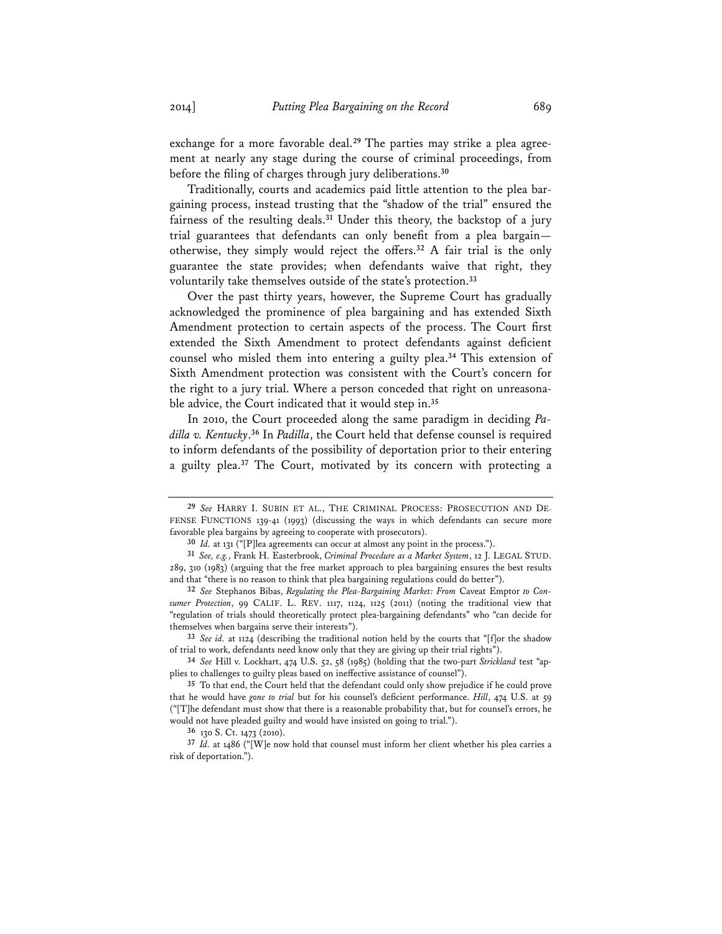exchange for a more favorable deal.**29** The parties may strike a plea agreement at nearly any stage during the course of criminal proceedings, from before the filing of charges through jury deliberations.**<sup>30</sup>**

Traditionally, courts and academics paid little attention to the plea bargaining process, instead trusting that the "shadow of the trial" ensured the fairness of the resulting deals.**<sup>31</sup>** Under this theory, the backstop of a jury trial guarantees that defendants can only benefit from a plea bargain otherwise, they simply would reject the offers.**<sup>32</sup>** A fair trial is the only guarantee the state provides; when defendants waive that right, they voluntarily take themselves outside of the state's protection.**<sup>33</sup>**

Over the past thirty years, however, the Supreme Court has gradually acknowledged the prominence of plea bargaining and has extended Sixth Amendment protection to certain aspects of the process. The Court first extended the Sixth Amendment to protect defendants against deficient counsel who misled them into entering a guilty plea.**<sup>34</sup>** This extension of Sixth Amendment protection was consistent with the Court's concern for the right to a jury trial. Where a person conceded that right on unreasonable advice, the Court indicated that it would step in.**<sup>35</sup>**

In 2010, the Court proceeded along the same paradigm in deciding *Padilla v. Kentucky*. **<sup>36</sup>** In *Padilla*, the Court held that defense counsel is required to inform defendants of the possibility of deportation prior to their entering a guilty plea.**<sup>37</sup>** The Court, motivated by its concern with protecting a

**<sup>29</sup>** *See* HARRY I. SUBIN ET AL., THE CRIMINAL PROCESS: PROSECUTION AND DE-FENSE FUNCTIONS 139-41 (1993) (discussing the ways in which defendants can secure more favorable plea bargains by agreeing to cooperate with prosecutors).

**<sup>30</sup>** *Id.* at 131 ("[P]lea agreements can occur at almost any point in the process.").

**<sup>31</sup>** *See, e.g.*, Frank H. Easterbrook, *Criminal Procedure as a Market System*, 12 J. LEGAL STUD. 289, 310 (1983) (arguing that the free market approach to plea bargaining ensures the best results and that "there is no reason to think that plea bargaining regulations could do better").

**<sup>32</sup>** *See* Stephanos Bibas, *Regulating the Plea-Bargaining Market: From* Caveat Emptor *to Consumer Protection*, 99 CALIF. L. REV. 1117, 1124, 1125 (2011) (noting the traditional view that "regulation of trials should theoretically protect plea-bargaining defendants" who "can decide for themselves when bargains serve their interests").

**<sup>33</sup>** *See id.* at 1124 (describing the traditional notion held by the courts that "[f]or the shadow of trial to work, defendants need know only that they are giving up their trial rights").

**<sup>34</sup>** *See* Hill v. Lockhart, 474 U.S. 52, 58 (1985) (holding that the two-part *Strickland* test "applies to challenges to guilty pleas based on ineffective assistance of counsel").

**<sup>35</sup>** To that end, the Court held that the defendant could only show prejudice if he could prove that he would have *gone to trial* but for his counsel's deficient performance. *Hill*, 474 U.S. at 59 ("[T]he defendant must show that there is a reasonable probability that, but for counsel's errors, he would not have pleaded guilty and would have insisted on going to trial.").

**<sup>36</sup>** 130 S. Ct. 1473 (2010).

**<sup>37</sup>** *Id.* at 1486 ("[W]e now hold that counsel must inform her client whether his plea carries a risk of deportation.").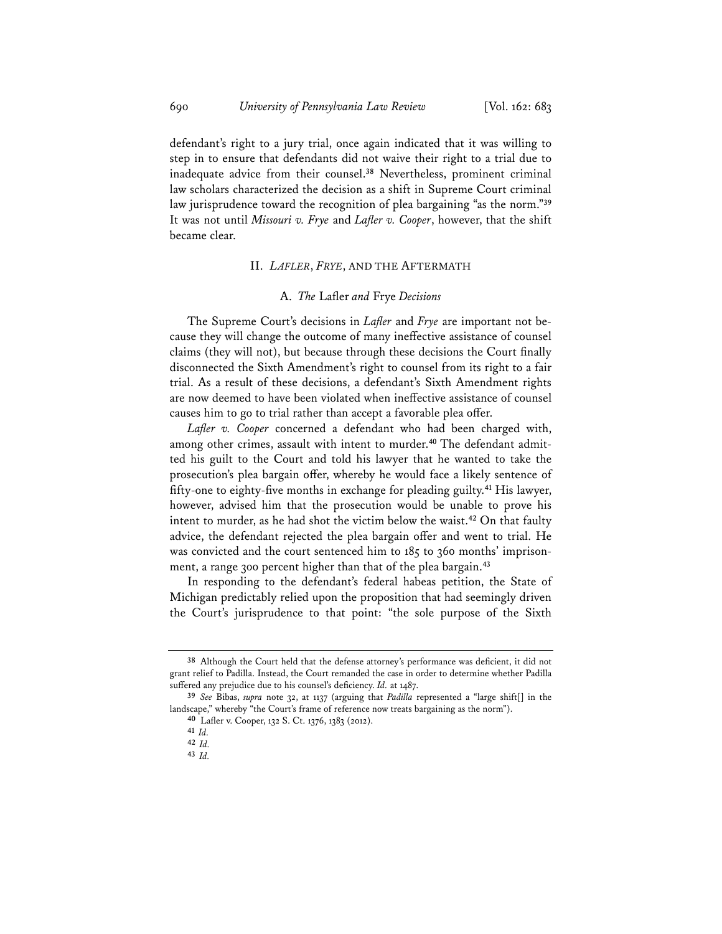defendant's right to a jury trial, once again indicated that it was willing to step in to ensure that defendants did not waive their right to a trial due to inadequate advice from their counsel.**<sup>38</sup>** Nevertheless, prominent criminal law scholars characterized the decision as a shift in Supreme Court criminal law jurisprudence toward the recognition of plea bargaining "as the norm."**<sup>39</sup>** It was not until *Missouri v. Frye* and *Lafler v. Cooper*, however, that the shift became clear.

# II. *LAFLER*, *FRYE*, AND THE AFTERMATH

#### A. *The* Lafler *and* Frye *Decisions*

The Supreme Court's decisions in *Lafler* and *Frye* are important not because they will change the outcome of many ineffective assistance of counsel claims (they will not), but because through these decisions the Court finally disconnected the Sixth Amendment's right to counsel from its right to a fair trial. As a result of these decisions, a defendant's Sixth Amendment rights are now deemed to have been violated when ineffective assistance of counsel causes him to go to trial rather than accept a favorable plea offer.

*Lafler v. Cooper* concerned a defendant who had been charged with, among other crimes, assault with intent to murder.**40** The defendant admitted his guilt to the Court and told his lawyer that he wanted to take the prosecution's plea bargain offer, whereby he would face a likely sentence of fifty-one to eighty-five months in exchange for pleading guilty.**<sup>41</sup>** His lawyer, however, advised him that the prosecution would be unable to prove his intent to murder, as he had shot the victim below the waist.**<sup>42</sup>** On that faulty advice, the defendant rejected the plea bargain offer and went to trial. He was convicted and the court sentenced him to 185 to 360 months' imprisonment, a range 300 percent higher than that of the plea bargain.**<sup>43</sup>**

In responding to the defendant's federal habeas petition, the State of Michigan predictably relied upon the proposition that had seemingly driven the Court's jurisprudence to that point: "the sole purpose of the Sixth

**<sup>38</sup>** Although the Court held that the defense attorney's performance was deficient, it did not grant relief to Padilla. Instead, the Court remanded the case in order to determine whether Padilla suffered any prejudice due to his counsel's deficiency. *Id.* at 1487.

**<sup>39</sup>** *See* Bibas, *supra* note 32, at 1137 (arguing that *Padilla* represented a "large shift[] in the landscape," whereby "the Court's frame of reference now treats bargaining as the norm").

**<sup>40</sup>** Lafler v. Cooper, 132 S. Ct. 1376, 1383 (2012).

**<sup>41</sup>** *Id.*

**<sup>42</sup>** *Id.*

**<sup>43</sup>** *Id.*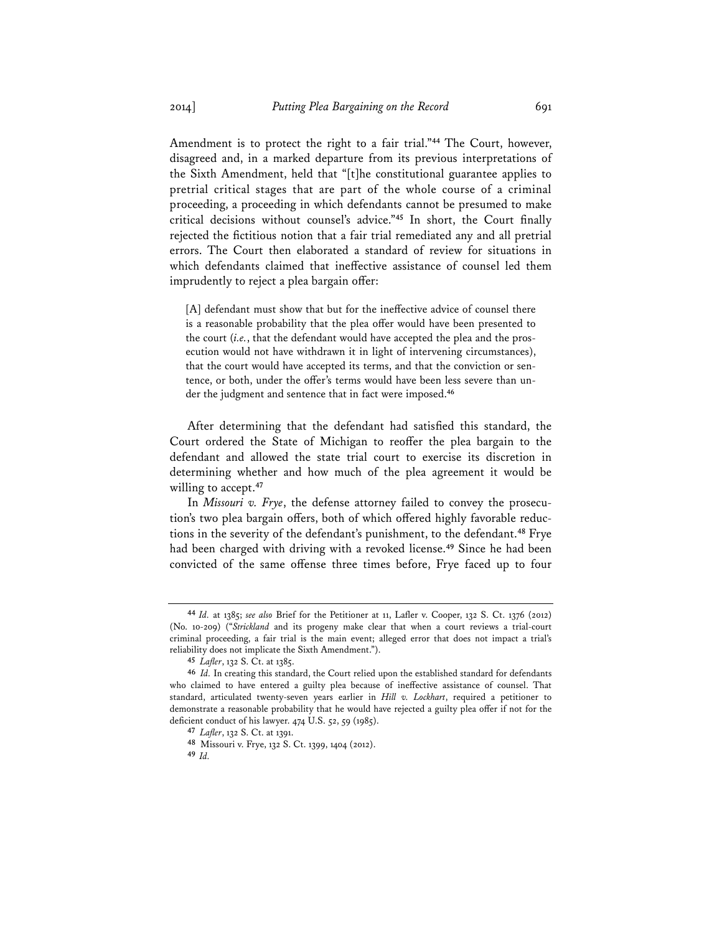Amendment is to protect the right to a fair trial."**<sup>44</sup>** The Court, however, disagreed and, in a marked departure from its previous interpretations of the Sixth Amendment, held that "[t]he constitutional guarantee applies to pretrial critical stages that are part of the whole course of a criminal proceeding, a proceeding in which defendants cannot be presumed to make critical decisions without counsel's advice."**<sup>45</sup>** In short, the Court finally rejected the fictitious notion that a fair trial remediated any and all pretrial errors. The Court then elaborated a standard of review for situations in which defendants claimed that ineffective assistance of counsel led them imprudently to reject a plea bargain offer:

[A] defendant must show that but for the ineffective advice of counsel there is a reasonable probability that the plea offer would have been presented to the court (*i.e.*, that the defendant would have accepted the plea and the prosecution would not have withdrawn it in light of intervening circumstances), that the court would have accepted its terms, and that the conviction or sentence, or both, under the offer's terms would have been less severe than under the judgment and sentence that in fact were imposed.**<sup>46</sup>**

After determining that the defendant had satisfied this standard, the Court ordered the State of Michigan to reoffer the plea bargain to the defendant and allowed the state trial court to exercise its discretion in determining whether and how much of the plea agreement it would be willing to accept.**<sup>47</sup>**

In *Missouri v. Frye*, the defense attorney failed to convey the prosecution's two plea bargain offers, both of which offered highly favorable reductions in the severity of the defendant's punishment, to the defendant.**<sup>48</sup>** Frye had been charged with driving with a revoked license.**<sup>49</sup>** Since he had been convicted of the same offense three times before, Frye faced up to four

**<sup>44</sup>** *Id.* at 1385; *see also* Brief for the Petitioner at 11, Lafler v. Cooper, 132 S. Ct. 1376 (2012) (No. 10-209) ("*Strickland* and its progeny make clear that when a court reviews a trial-court criminal proceeding, a fair trial is the main event; alleged error that does not impact a trial's reliability does not implicate the Sixth Amendment.").

**<sup>45</sup>** *Lafler*, 132 S. Ct. at 1385.

**<sup>46</sup>** *Id.* In creating this standard, the Court relied upon the established standard for defendants who claimed to have entered a guilty plea because of ineffective assistance of counsel. That standard, articulated twenty-seven years earlier in *Hill v. Lockhart*, required a petitioner to demonstrate a reasonable probability that he would have rejected a guilty plea offer if not for the deficient conduct of his lawyer. 474 U.S. 52, 59 (1985).

**<sup>47</sup>** *Lafler*, 132 S. Ct. at 1391.

**<sup>48</sup>** Missouri v. Frye, 132 S. Ct. 1399, 1404 (2012).

**<sup>49</sup>** *Id.*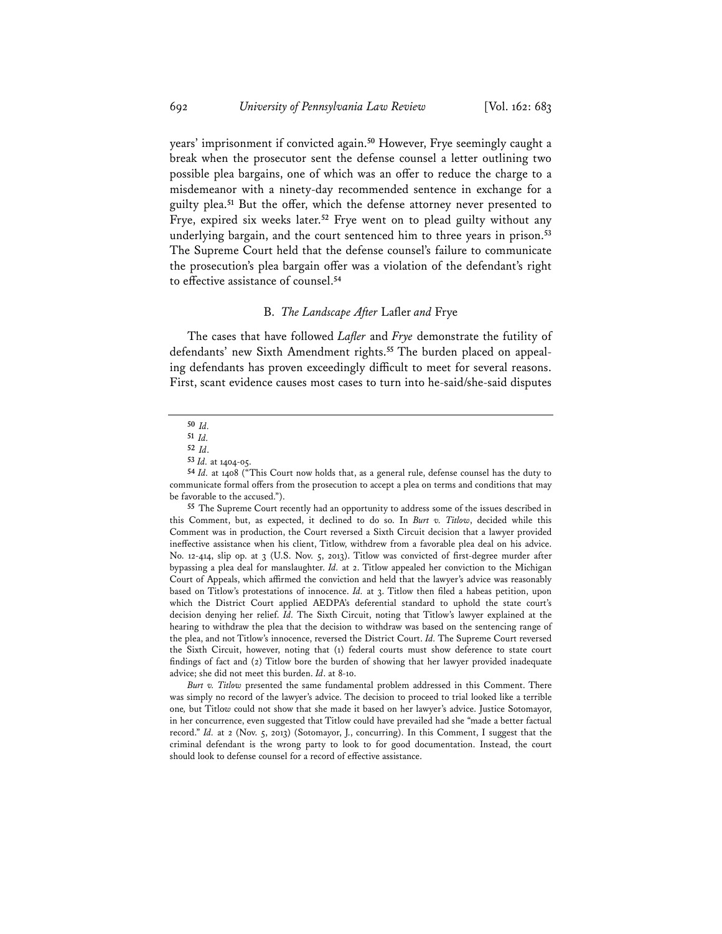years' imprisonment if convicted again.**<sup>50</sup>** However, Frye seemingly caught a break when the prosecutor sent the defense counsel a letter outlining two possible plea bargains, one of which was an offer to reduce the charge to a misdemeanor with a ninety-day recommended sentence in exchange for a guilty plea.**<sup>51</sup>** But the offer, which the defense attorney never presented to Frye, expired six weeks later.**<sup>52</sup>** Frye went on to plead guilty without any underlying bargain, and the court sentenced him to three years in prison.**<sup>53</sup>** The Supreme Court held that the defense counsel's failure to communicate the prosecution's plea bargain offer was a violation of the defendant's right to effective assistance of counsel.**<sup>54</sup>**

# B. *The Landscape After* Lafler *and* Frye

The cases that have followed *Lafler* and *Frye* demonstrate the futility of defendants' new Sixth Amendment rights.**55** The burden placed on appealing defendants has proven exceedingly difficult to meet for several reasons. First, scant evidence causes most cases to turn into he-said/she-said disputes

*Burt v. Titlow* pr*e*sented the same fundamental problem addressed in this Comment. There was simply no record of the lawyer's advice. The decision to proceed to trial looked like a terrible one*,* but Titlo*w* could not show that she made it based on her lawyer's advice. Justice Sotomayor, in her concurrence, even suggested that Titlow could have prevailed had she "made a better factual record." *Id.* at 2 (Nov. 5, 2013) (Sotomayor, J., concurring). In this Comment, I suggest that the criminal defendant is the wrong party to look to for good documentation. Instead, the court should look to defense counsel for a record of effective assistance.

**<sup>50</sup>** *Id.* 

**<sup>51</sup>** *Id.*

**<sup>52</sup>** *Id*.

**<sup>53</sup>** *Id.* at 1404-05.

**<sup>54</sup>** *Id.* at 1408 ("This Court now holds that, as a general rule, defense counsel has the duty to communicate formal offers from the prosecution to accept a plea on terms and conditions that may be favorable to the accused.").

**<sup>55</sup>** The Supreme Court recently had an opportunity to address some of the issues described in this Comment, but, as expected, it declined to do so. In *Burt v. Titlow*, decided while this Comment was in production, the Court reversed a Sixth Circuit decision that a lawyer provided ineffective assistance when his client, Titlow, withdrew from a favorable plea deal on his advice. No. 12-414, slip op. at 3 (U.S. Nov. 5, 2013). Titlow was convicted of first-degree murder after bypassing a plea deal for manslaughter. *Id.* at 2. Titlow appealed her conviction to the Michigan Court of Appeals, which affirmed the conviction and held that the lawyer's advice was reasonably based on Titlow's protestations of innocence. *Id.* at 3. Titlow then filed a habeas petition, upon which the District Court applied AEDPA's deferential standard to uphold the state court's decision denying her relief. *Id.* The Sixth Circuit, noting that Titlow's lawyer explained at the hearing to withdraw the plea that the decision to withdraw was based on the sentencing range of the plea, and not Titlow's innocence, reversed the District Court. *Id.* The Supreme Court reversed the Sixth Circuit, however, noting that (1) federal courts must show deference to state court findings of fact and (2) Titlow bore the burden of showing that her lawyer provided inadequate advice; she did not meet this burden. *Id*. at 8-10.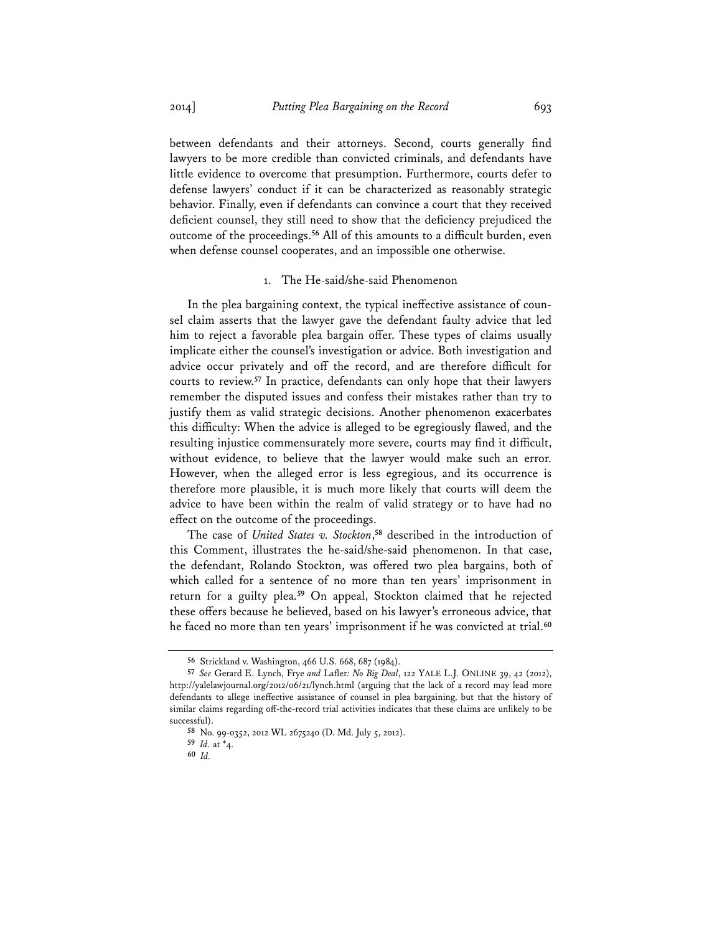between defendants and their attorneys. Second, courts generally find lawyers to be more credible than convicted criminals, and defendants have little evidence to overcome that presumption. Furthermore, courts defer to defense lawyers' conduct if it can be characterized as reasonably strategic behavior. Finally, even if defendants can convince a court that they received deficient counsel, they still need to show that the deficiency prejudiced the outcome of the proceedings.**<sup>56</sup>** All of this amounts to a difficult burden, even when defense counsel cooperates, and an impossible one otherwise.

#### 1. The He-said/she-said Phenomenon

In the plea bargaining context, the typical ineffective assistance of counsel claim asserts that the lawyer gave the defendant faulty advice that led him to reject a favorable plea bargain offer. These types of claims usually implicate either the counsel's investigation or advice. Both investigation and advice occur privately and off the record, and are therefore difficult for courts to review.**<sup>57</sup>** In practice, defendants can only hope that their lawyers remember the disputed issues and confess their mistakes rather than try to justify them as valid strategic decisions. Another phenomenon exacerbates this difficulty: When the advice is alleged to be egregiously flawed, and the resulting injustice commensurately more severe, courts may find it difficult, without evidence, to believe that the lawyer would make such an error. However, when the alleged error is less egregious, and its occurrence is therefore more plausible, it is much more likely that courts will deem the advice to have been within the realm of valid strategy or to have had no effect on the outcome of the proceedings.

The case of *United States v. Stockton*, **<sup>58</sup>** described in the introduction of this Comment, illustrates the he-said/she-said phenomenon. In that case, the defendant, Rolando Stockton, was offered two plea bargains, both of which called for a sentence of no more than ten years' imprisonment in return for a guilty plea.**<sup>59</sup>** On appeal, Stockton claimed that he rejected these offers because he believed, based on his lawyer's erroneous advice, that he faced no more than ten years' imprisonment if he was convicted at trial.**<sup>60</sup>**

**<sup>56</sup>** Strickland v. Washington, 466 U.S. 668, 687 (1984).

**<sup>57</sup>** *See* Gerard E. Lynch, Frye *and* Lafler*: No Big Deal*, 122 YALE L.J. ONLINE 39, 42 (2012), http://yalelawjournal.org/2012/06/21/lynch.html (arguing that the lack of a record may lead more defendants to allege ineffective assistance of counsel in plea bargaining, but that the history of similar claims regarding off-the-record trial activities indicates that these claims are unlikely to be successful).

**<sup>58</sup>** No. 99-0352, 2012 WL 2675240 (D. Md. July 5, 2012).

**<sup>59</sup>** *Id.* at \*4.

**<sup>60</sup>** *Id.*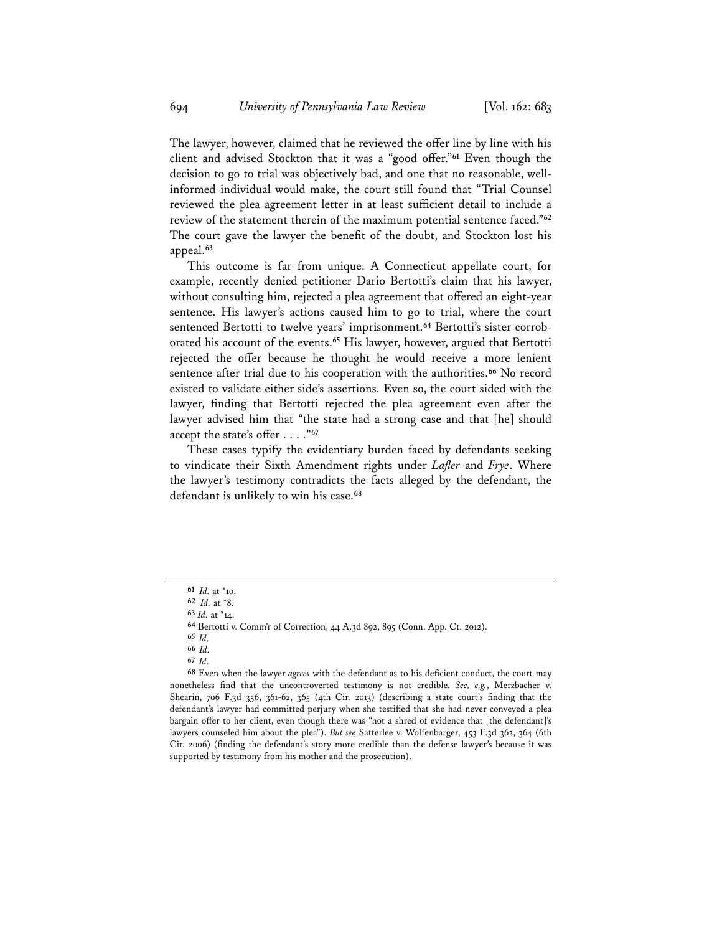The lawyer, however, claimed that he reviewed the offer line by line with his client and advised Stockton that it was a "good offer."**<sup>61</sup>** Even though the decision to go to trial was objectively bad, and one that no reasonable, wellinformed individual would make, the court still found that "Trial Counsel reviewed the plea agreement letter in at least sufficient detail to include a review of the statement therein of the maximum potential sentence faced."**<sup>62</sup>** The court gave the lawyer the benefit of the doubt, and Stockton lost his appeal.**<sup>63</sup>**

This outcome is far from unique. A Connecticut appellate court, for example, recently denied petitioner Dario Bertotti's claim that his lawyer, without consulting him, rejected a plea agreement that offered an eight-year sentence. His lawyer's actions caused him to go to trial, where the court sentenced Bertotti to twelve years' imprisonment.**64** Bertotti's sister corroborated his account of the events.**<sup>65</sup>** His lawyer, however, argued that Bertotti rejected the offer because he thought he would receive a more lenient sentence after trial due to his cooperation with the authorities.**<sup>66</sup>** No record existed to validate either side's assertions. Even so, the court sided with the lawyer, finding that Bertotti rejected the plea agreement even after the lawyer advised him that "the state had a strong case and that [he] should accept the state's offer . . . ."**<sup>67</sup>**

These cases typify the evidentiary burden faced by defendants seeking to vindicate their Sixth Amendment rights under *Lafler* and *Frye*. Where the lawyer's testimony contradicts the facts alleged by the defendant, the defendant is unlikely to win his case.**<sup>68</sup>**

**<sup>61</sup>** *Id.* at \*10.

**<sup>62</sup>** *Id.* at \*8.

**<sup>63</sup>** *Id.* at \*14.

**<sup>64</sup>** Bertotti v. Comm'r of Correction, 44 A.3d 892, 895 (Conn. App. Ct. 2012).

**<sup>65</sup>** *Id.* 

**<sup>66</sup>** *Id.* 

**<sup>67</sup>** *Id.* 

**<sup>68</sup>** Even when the lawyer *agrees* with the defendant as to his deficient conduct, the court may nonetheless find that the uncontroverted testimony is not credible. *See, e.g.*, Merzbacher v. Shearin, 706 F.3d 356, 361-62, 365 (4th Cir. 2013) (describing a state court's finding that the defendant's lawyer had committed perjury when she testified that she had never conveyed a plea bargain offer to her client, even though there was "not a shred of evidence that [the defendant]'s lawyers counseled him about the plea"). *But see* Satterlee v. Wolfenbarger, 453 F.3d 362, 364 (6th Cir. 2006) (finding the defendant's story more credible than the defense lawyer's because it was supported by testimony from his mother and the prosecution).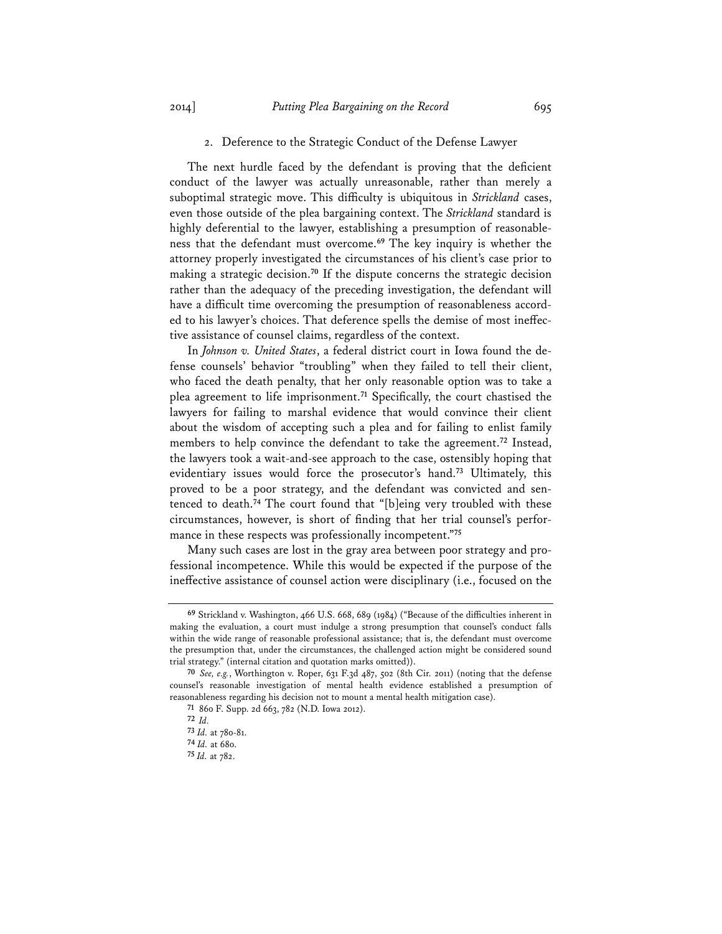# 2. Deference to the Strategic Conduct of the Defense Lawyer

The next hurdle faced by the defendant is proving that the deficient conduct of the lawyer was actually unreasonable, rather than merely a suboptimal strategic move. This difficulty is ubiquitous in *Strickland* cases, even those outside of the plea bargaining context. The *Strickland* standard is highly deferential to the lawyer, establishing a presumption of reasonableness that the defendant must overcome.**<sup>69</sup>** The key inquiry is whether the attorney properly investigated the circumstances of his client's case prior to making a strategic decision.**<sup>70</sup>** If the dispute concerns the strategic decision rather than the adequacy of the preceding investigation, the defendant will have a difficult time overcoming the presumption of reasonableness accorded to his lawyer's choices. That deference spells the demise of most ineffective assistance of counsel claims, regardless of the context.

In *Johnson v. United States*, a federal district court in Iowa found the defense counsels' behavior "troubling" when they failed to tell their client, who faced the death penalty, that her only reasonable option was to take a plea agreement to life imprisonment.**<sup>71</sup>** Specifically, the court chastised the lawyers for failing to marshal evidence that would convince their client about the wisdom of accepting such a plea and for failing to enlist family members to help convince the defendant to take the agreement.**<sup>72</sup>** Instead, the lawyers took a wait-and-see approach to the case, ostensibly hoping that evidentiary issues would force the prosecutor's hand.**<sup>73</sup>** Ultimately, this proved to be a poor strategy, and the defendant was convicted and sentenced to death.**<sup>74</sup>** The court found that "[b]eing very troubled with these circumstances, however, is short of finding that her trial counsel's performance in these respects was professionally incompetent."**<sup>75</sup>**

Many such cases are lost in the gray area between poor strategy and professional incompetence. While this would be expected if the purpose of the ineffective assistance of counsel action were disciplinary (i.e., focused on the

**<sup>69</sup>** Strickland v. Washington, 466 U.S. 668, 689 (1984) ("Because of the difficulties inherent in making the evaluation, a court must indulge a strong presumption that counsel's conduct falls within the wide range of reasonable professional assistance; that is, the defendant must overcome the presumption that, under the circumstances, the challenged action might be considered sound trial strategy." (internal citation and quotation marks omitted)).

**<sup>70</sup>** *See, e.g.*, Worthington v. Roper, 631 F.3d 487, 502 (8th Cir. 2011) (noting that the defense counsel's reasonable investigation of mental health evidence established a presumption of reasonableness regarding his decision not to mount a mental health mitigation case).

**<sup>71</sup>** 860 F. Supp. 2d 663, 782 (N.D. Iowa 2012).

**<sup>72</sup>** *Id.*

**<sup>73</sup>** *Id.* at 780-81.

**<sup>74</sup>** *Id.* at 680.

**<sup>75</sup>** *Id.* at 782.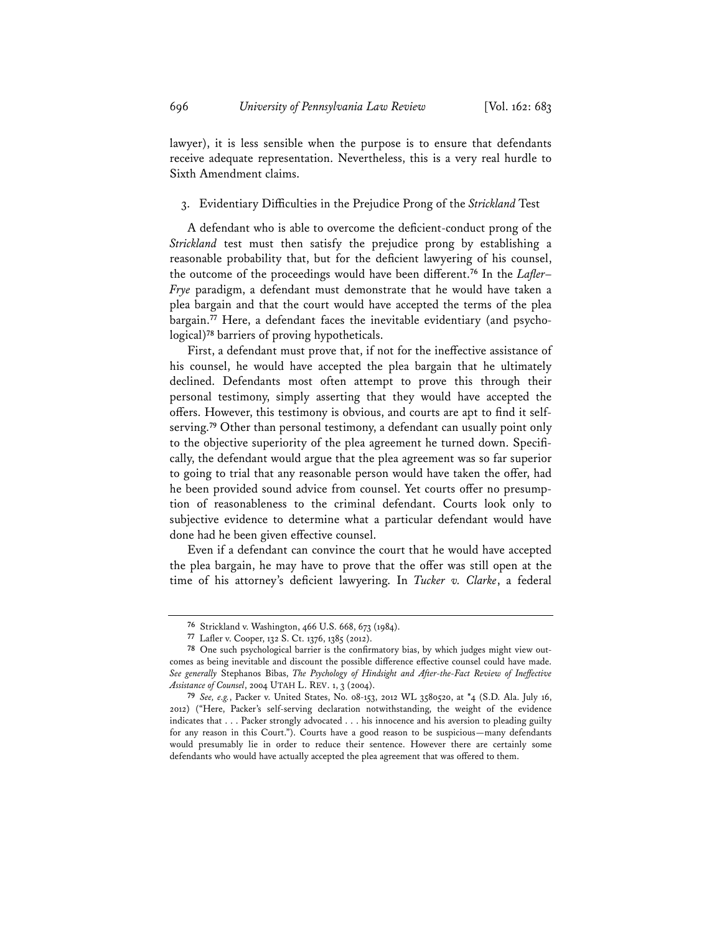lawyer), it is less sensible when the purpose is to ensure that defendants receive adequate representation. Nevertheless, this is a very real hurdle to Sixth Amendment claims.

#### 3. Evidentiary Difficulties in the Prejudice Prong of the *Strickland* Test

A defendant who is able to overcome the deficient-conduct prong of the *Strickland* test must then satisfy the prejudice prong by establishing a reasonable probability that, but for the deficient lawyering of his counsel, the outcome of the proceedings would have been different.**<sup>76</sup>** In the *Lafler*– *Frye* paradigm, a defendant must demonstrate that he would have taken a plea bargain and that the court would have accepted the terms of the plea bargain.**77** Here, a defendant faces the inevitable evidentiary (and psychological)**<sup>78</sup>** barriers of proving hypotheticals.

First, a defendant must prove that, if not for the ineffective assistance of his counsel, he would have accepted the plea bargain that he ultimately declined. Defendants most often attempt to prove this through their personal testimony, simply asserting that they would have accepted the offers. However, this testimony is obvious, and courts are apt to find it selfserving.**<sup>79</sup>** Other than personal testimony, a defendant can usually point only to the objective superiority of the plea agreement he turned down. Specifically, the defendant would argue that the plea agreement was so far superior to going to trial that any reasonable person would have taken the offer, had he been provided sound advice from counsel. Yet courts offer no presumption of reasonableness to the criminal defendant. Courts look only to subjective evidence to determine what a particular defendant would have done had he been given effective counsel.

Even if a defendant can convince the court that he would have accepted the plea bargain, he may have to prove that the offer was still open at the time of his attorney's deficient lawyering. In *Tucker v. Clarke*, a federal

**<sup>76</sup>** Strickland v. Washington, 466 U.S. 668, 673 (1984).

**<sup>77</sup>** Lafler v. Cooper, 132 S. Ct. 1376, 1385 (2012).

**<sup>78</sup>** One such psychological barrier is the confirmatory bias, by which judges might view outcomes as being inevitable and discount the possible difference effective counsel could have made. *See generally* Stephanos Bibas, *The Psychology of Hindsight and After-the-Fact Review of Ineffective Assistance of Counsel*, 2004 UTAH L. REV. 1, 3 (2004).

**<sup>79</sup>** *See, e.g.*, Packer v. United States, No. 08-153, 2012 WL 3580520, at \*4 (S.D. Ala. July 16, 2012) ("Here, Packer's self-serving declaration notwithstanding, the weight of the evidence indicates that . . . Packer strongly advocated . . . his innocence and his aversion to pleading guilty for any reason in this Court."). Courts have a good reason to be suspicious—many defendants would presumably lie in order to reduce their sentence. However there are certainly some defendants who would have actually accepted the plea agreement that was offered to them.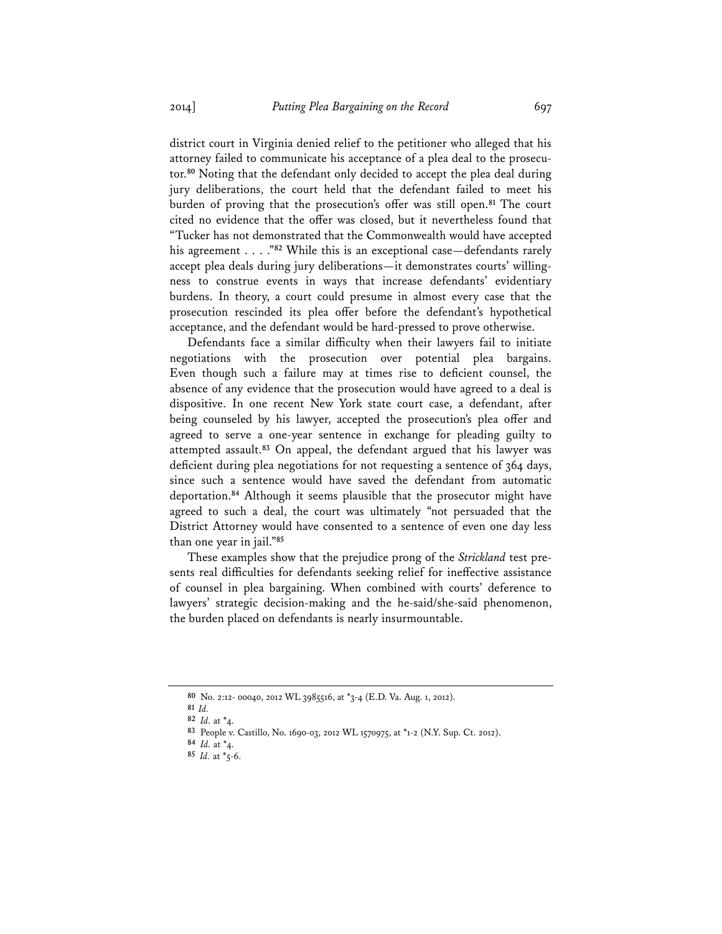district court in Virginia denied relief to the petitioner who alleged that his attorney failed to communicate his acceptance of a plea deal to the prosecutor.**<sup>80</sup>** Noting that the defendant only decided to accept the plea deal during jury deliberations, the court held that the defendant failed to meet his burden of proving that the prosecution's offer was still open.**<sup>81</sup>** The court cited no evidence that the offer was closed, but it nevertheless found that "Tucker has not demonstrated that the Commonwealth would have accepted his agreement . . . ."**<sup>82</sup>** While this is an exceptional case—defendants rarely accept plea deals during jury deliberations—it demonstrates courts' willingness to construe events in ways that increase defendants' evidentiary burdens. In theory, a court could presume in almost every case that the prosecution rescinded its plea offer before the defendant's hypothetical acceptance, and the defendant would be hard-pressed to prove otherwise.

Defendants face a similar difficulty when their lawyers fail to initiate negotiations with the prosecution over potential plea bargains. Even though such a failure may at times rise to deficient counsel, the absence of any evidence that the prosecution would have agreed to a deal is dispositive. In one recent New York state court case, a defendant, after being counseled by his lawyer, accepted the prosecution's plea offer and agreed to serve a one-year sentence in exchange for pleading guilty to attempted assault.**<sup>83</sup>** On appeal, the defendant argued that his lawyer was deficient during plea negotiations for not requesting a sentence of 364 days, since such a sentence would have saved the defendant from automatic deportation.**<sup>84</sup>** Although it seems plausible that the prosecutor might have agreed to such a deal, the court was ultimately "not persuaded that the District Attorney would have consented to a sentence of even one day less than one year in jail."**<sup>85</sup>**

These examples show that the prejudice prong of the *Strickland* test presents real difficulties for defendants seeking relief for ineffective assistance of counsel in plea bargaining. When combined with courts' deference to lawyers' strategic decision-making and the he-said/she-said phenomenon, the burden placed on defendants is nearly insurmountable.

**<sup>80</sup>** No. 2:12- 00040, 2012 WL 3985516, at \*3-4 (E.D. Va. Aug. 1, 2012).

**<sup>81</sup>** *Id.*

**<sup>82</sup>** *Id.* at \*4.

**<sup>83</sup>** People v. Castillo, No. 1690-03, 2012 WL 1570975, at \*1-2 (N.Y. Sup. Ct. 2012).

**<sup>84</sup>** *Id.* at \*4.

**<sup>85</sup>** *Id.* at \*5-6.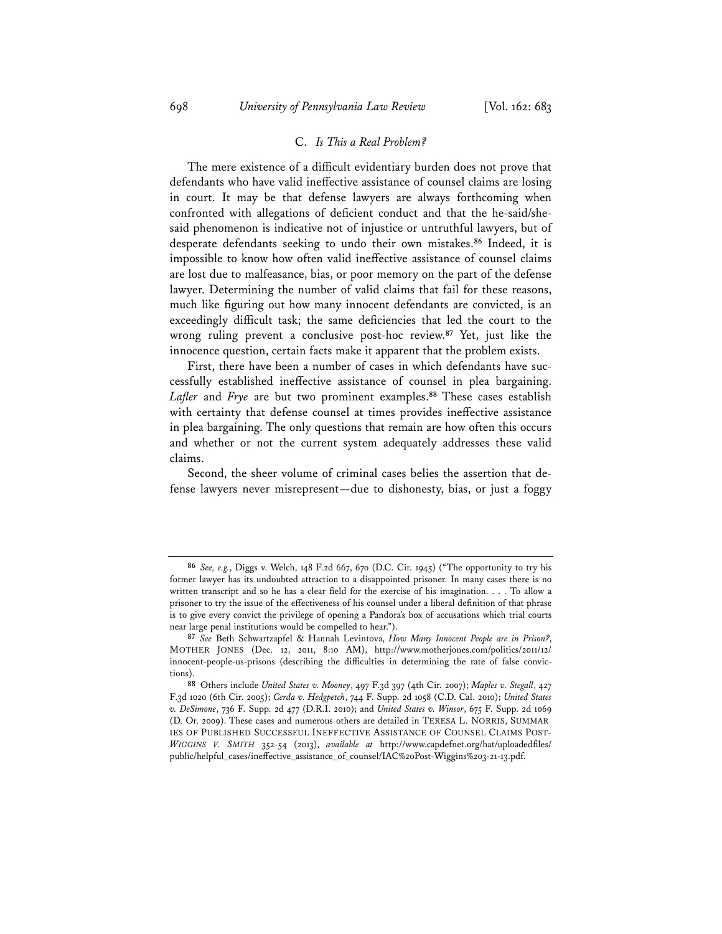#### C. *Is This a Real Problem?*

The mere existence of a difficult evidentiary burden does not prove that defendants who have valid ineffective assistance of counsel claims are losing in court. It may be that defense lawyers are always forthcoming when confronted with allegations of deficient conduct and that the he-said/shesaid phenomenon is indicative not of injustice or untruthful lawyers, but of desperate defendants seeking to undo their own mistakes.**<sup>86</sup>** Indeed, it is impossible to know how often valid ineffective assistance of counsel claims are lost due to malfeasance, bias, or poor memory on the part of the defense lawyer. Determining the number of valid claims that fail for these reasons, much like figuring out how many innocent defendants are convicted, is an exceedingly difficult task; the same deficiencies that led the court to the wrong ruling prevent a conclusive post-hoc review.**<sup>87</sup>** Yet, just like the innocence question, certain facts make it apparent that the problem exists.

First, there have been a number of cases in which defendants have successfully established ineffective assistance of counsel in plea bargaining. *Lafler* and *Frye* are but two prominent examples.**<sup>88</sup>** These cases establish with certainty that defense counsel at times provides ineffective assistance in plea bargaining. The only questions that remain are how often this occurs and whether or not the current system adequately addresses these valid claims.

Second, the sheer volume of criminal cases belies the assertion that defense lawyers never misrepresent—due to dishonesty, bias, or just a foggy

**<sup>86</sup>** *See, e.g.*, Diggs v. Welch, 148 F.2d 667, 670 (D.C. Cir. 1945) ("The opportunity to try his former lawyer has its undoubted attraction to a disappointed prisoner. In many cases there is no written transcript and so he has a clear field for the exercise of his imagination. . . . To allow a prisoner to try the issue of the effectiveness of his counsel under a liberal definition of that phrase is to give every convict the privilege of opening a Pandora's box of accusations which trial courts near large penal institutions would be compelled to hear.").

**<sup>87</sup>** *See* Beth Schwartzapfel & Hannah Levintova, *How Many Innocent People are in Prison?*, MOTHER JONES (Dec. 12, 2011, 8:10 AM), http://www.motherjones.com/politics/2011/12/ innocent-people-us-prisons (describing the difficulties in determining the rate of false convictions).

**<sup>88</sup>** Others include *United States v. Mooney*, 497 F.3d 397 (4th Cir. 2007); *Maples v. Stegall*, 427 F.3d 1020 (6th Cir. 2005); *Cerda v. Hedgpetch*, 744 F. Supp. 2d 1058 (C.D. Cal. 2010); *United States v. DeSimone*, 736 F. Supp. 2d 477 (D.R.I. 2010); and *United States v. Winsor*, 675 F. Supp. 2d 1069 (D. Or. 2009). These cases and numerous others are detailed in TERESA L. NORRIS, SUMMAR-IES OF PUBLISHED SUCCESSFUL INEFFECTIVE ASSISTANCE OF COUNSEL CLAIMS POST-*WIGGINS V. SMITH* 352-54 (2013), *available at* http://www.capdefnet.org/hat/uploadedfiles/ public/helpful\_cases/ineffective\_assistance\_of\_counsel/IAC%20Post-Wiggins%203-21-13.pdf.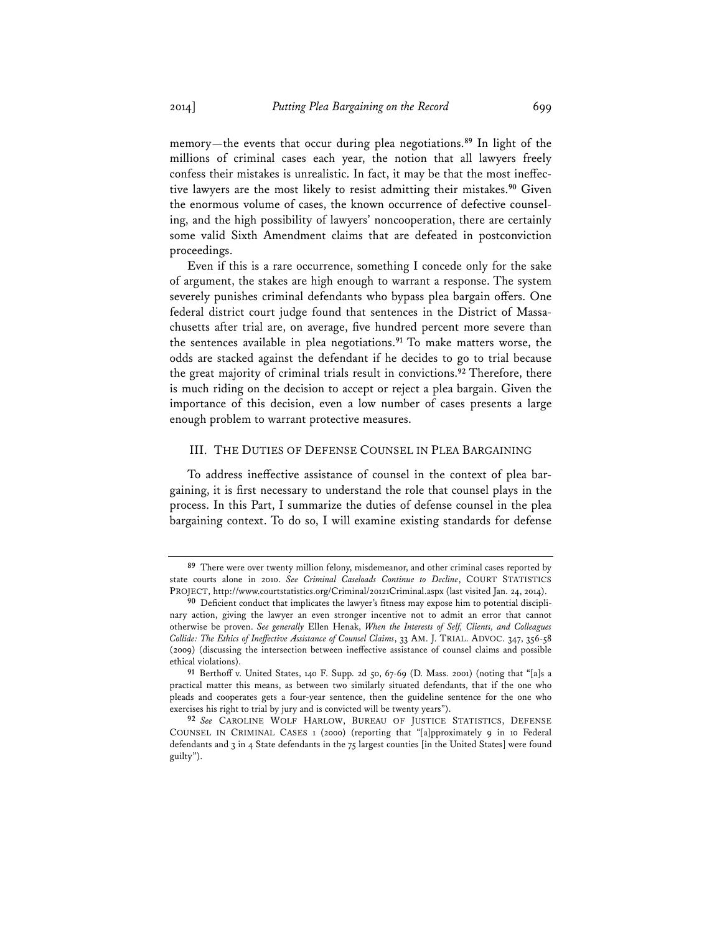memory—the events that occur during plea negotiations.**<sup>89</sup>** In light of the millions of criminal cases each year, the notion that all lawyers freely confess their mistakes is unrealistic. In fact, it may be that the most ineffective lawyers are the most likely to resist admitting their mistakes.**<sup>90</sup>** Given the enormous volume of cases, the known occurrence of defective counseling, and the high possibility of lawyers' noncooperation, there are certainly some valid Sixth Amendment claims that are defeated in postconviction proceedings.

Even if this is a rare occurrence, something I concede only for the sake of argument, the stakes are high enough to warrant a response. The system severely punishes criminal defendants who bypass plea bargain offers. One federal district court judge found that sentences in the District of Massachusetts after trial are, on average, five hundred percent more severe than the sentences available in plea negotiations.**<sup>91</sup>** To make matters worse, the odds are stacked against the defendant if he decides to go to trial because the great majority of criminal trials result in convictions.**<sup>92</sup>** Therefore, there is much riding on the decision to accept or reject a plea bargain. Given the importance of this decision, even a low number of cases presents a large enough problem to warrant protective measures.

#### III. THE DUTIES OF DEFENSE COUNSEL IN PLEA BARGAINING

To address ineffective assistance of counsel in the context of plea bargaining, it is first necessary to understand the role that counsel plays in the process. In this Part, I summarize the duties of defense counsel in the plea bargaining context. To do so, I will examine existing standards for defense

**<sup>89</sup>** There were over twenty million felony, misdemeanor, and other criminal cases reported by state courts alone in 2010. *See Criminal Caseloads Continue to Decline*, COURT STATISTICS PROJECT, http://www.courtstatistics.org/Criminal/20121Criminal.aspx (last visited Jan. 24, 2014).

**<sup>90</sup>** Deficient conduct that implicates the lawyer's fitness may expose him to potential disciplinary action, giving the lawyer an even stronger incentive not to admit an error that cannot otherwise be proven. *See generally* Ellen Henak, *When the Interests of Self, Clients, and Colleagues Collide: The Ethics of Ineffective Assistance of Counsel Claims*, 33 AM. J. TRIAL. ADVOC. 347, 356-58 (2009) (discussing the intersection between ineffective assistance of counsel claims and possible ethical violations).

**<sup>91</sup>** Berthoff v. United States, 140 F. Supp. 2d 50, 67-69 (D. Mass. 2001) (noting that "[a]s a practical matter this means, as between two similarly situated defendants, that if the one who pleads and cooperates gets a four-year sentence, then the guideline sentence for the one who exercises his right to trial by jury and is convicted will be twenty years").

**<sup>92</sup>** *See* CAROLINE WOLF HARLOW, BUREAU OF JUSTICE STATISTICS, DEFENSE COUNSEL IN CRIMINAL CASES 1 (2000) (reporting that "[a]pproximately 9 in 10 Federal defendants and 3 in 4 State defendants in the 75 largest counties [in the United States] were found guilty").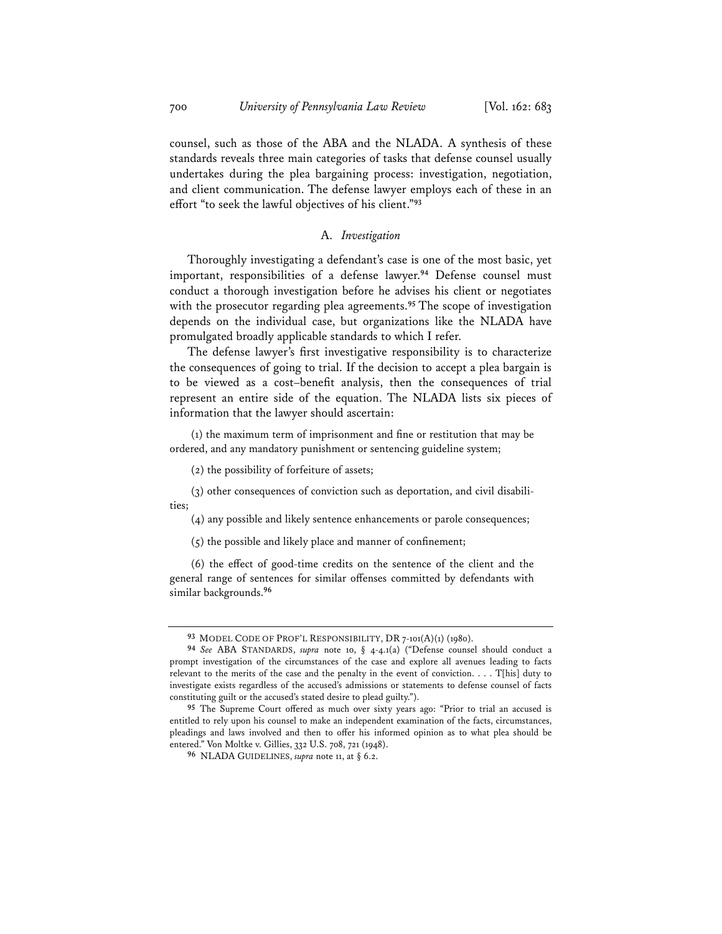counsel, such as those of the ABA and the NLADA. A synthesis of these standards reveals three main categories of tasks that defense counsel usually undertakes during the plea bargaining process: investigation, negotiation, and client communication. The defense lawyer employs each of these in an effort "to seek the lawful objectives of his client."**<sup>93</sup>**

## A. *Investigation*

Thoroughly investigating a defendant's case is one of the most basic, yet important, responsibilities of a defense lawyer.**<sup>94</sup>** Defense counsel must conduct a thorough investigation before he advises his client or negotiates with the prosecutor regarding plea agreements.**<sup>95</sup>** The scope of investigation depends on the individual case, but organizations like the NLADA have promulgated broadly applicable standards to which I refer.

The defense lawyer's first investigative responsibility is to characterize the consequences of going to trial. If the decision to accept a plea bargain is to be viewed as a cost–benefit analysis, then the consequences of trial represent an entire side of the equation. The NLADA lists six pieces of information that the lawyer should ascertain:

(1) the maximum term of imprisonment and fine or restitution that may be ordered, and any mandatory punishment or sentencing guideline system;

(2) the possibility of forfeiture of assets;

(3) other consequences of conviction such as deportation, and civil disabilities;

(4) any possible and likely sentence enhancements or parole consequences;

 $(5)$  the possible and likely place and manner of confinement;

(6) the effect of good-time credits on the sentence of the client and the general range of sentences for similar offenses committed by defendants with similar backgrounds.**<sup>96</sup>**

**<sup>93</sup>** MODEL CODE OF PROF'L RESPONSIBILITY, DR 7-101(A)(1) (1980).

**<sup>94</sup>** *See* ABA STANDARDS, *supra* note 10, § 4-4.1(a) ("Defense counsel should conduct a prompt investigation of the circumstances of the case and explore all avenues leading to facts relevant to the merits of the case and the penalty in the event of conviction. . . . T[his] duty to investigate exists regardless of the accused's admissions or statements to defense counsel of facts constituting guilt or the accused's stated desire to plead guilty.").

**<sup>95</sup>** The Supreme Court offered as much over sixty years ago: "Prior to trial an accused is entitled to rely upon his counsel to make an independent examination of the facts, circumstances, pleadings and laws involved and then to offer his informed opinion as to what plea should be entered." Von Moltke v. Gillies, 332 U.S. 708, 721 (1948).

**<sup>96</sup>** NLADA GUIDELINES, *supra* note 11, at § 6.2.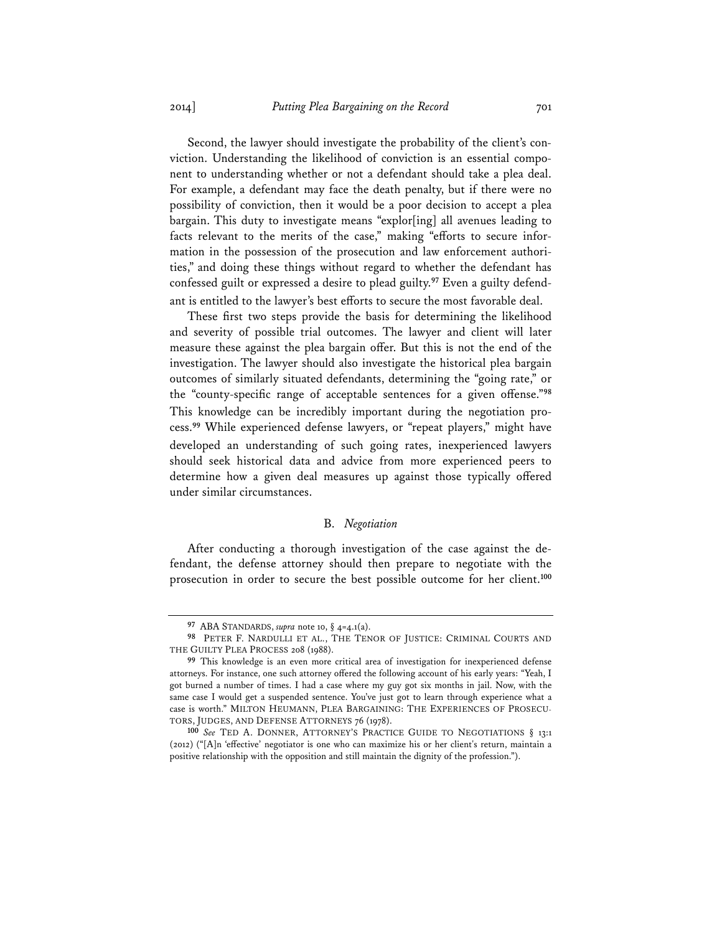Second, the lawyer should investigate the probability of the client's conviction. Understanding the likelihood of conviction is an essential component to understanding whether or not a defendant should take a plea deal. For example, a defendant may face the death penalty, but if there were no possibility of conviction, then it would be a poor decision to accept a plea bargain. This duty to investigate means "explor[ing] all avenues leading to facts relevant to the merits of the case," making "efforts to secure information in the possession of the prosecution and law enforcement authorities," and doing these things without regard to whether the defendant has confessed guilt or expressed a desire to plead guilty.**97** Even a guilty defendant is entitled to the lawyer's best efforts to secure the most favorable deal.

These first two steps provide the basis for determining the likelihood and severity of possible trial outcomes. The lawyer and client will later measure these against the plea bargain offer. But this is not the end of the investigation. The lawyer should also investigate the historical plea bargain outcomes of similarly situated defendants, determining the "going rate," or the "county-specific range of acceptable sentences for a given offense."**<sup>98</sup>** This knowledge can be incredibly important during the negotiation process.**<sup>99</sup>** While experienced defense lawyers, or "repeat players," might have developed an understanding of such going rates, inexperienced lawyers should seek historical data and advice from more experienced peers to determine how a given deal measures up against those typically offered under similar circumstances.

# B. *Negotiation*

After conducting a thorough investigation of the case against the defendant, the defense attorney should then prepare to negotiate with the prosecution in order to secure the best possible outcome for her client.**<sup>100</sup>**

**<sup>97</sup>** ABA STANDARDS, *supra* note 10, § 4=4.1(a).

**<sup>98</sup>** PETER F. NARDULLI ET AL., THE TENOR OF JUSTICE: CRIMINAL COURTS AND THE GUILTY PLEA PROCESS 208 (1988).

**<sup>99</sup>** This knowledge is an even more critical area of investigation for inexperienced defense attorneys. For instance, one such attorney offered the following account of his early years: "Yeah, I got burned a number of times. I had a case where my guy got six months in jail. Now, with the same case I would get a suspended sentence. You've just got to learn through experience what a case is worth." MILTON HEUMANN, PLEA BARGAINING: THE EXPERIENCES OF PROSECU-TORS, JUDGES, AND DEFENSE ATTORNEYS 76 (1978).

**<sup>100</sup>** *See* TED A. DONNER, ATTORNEY'S PRACTICE GUIDE TO NEGOTIATIONS § 13:1 (2012) ("[A]n 'effective' negotiator is one who can maximize his or her client's return, maintain a positive relationship with the opposition and still maintain the dignity of the profession.").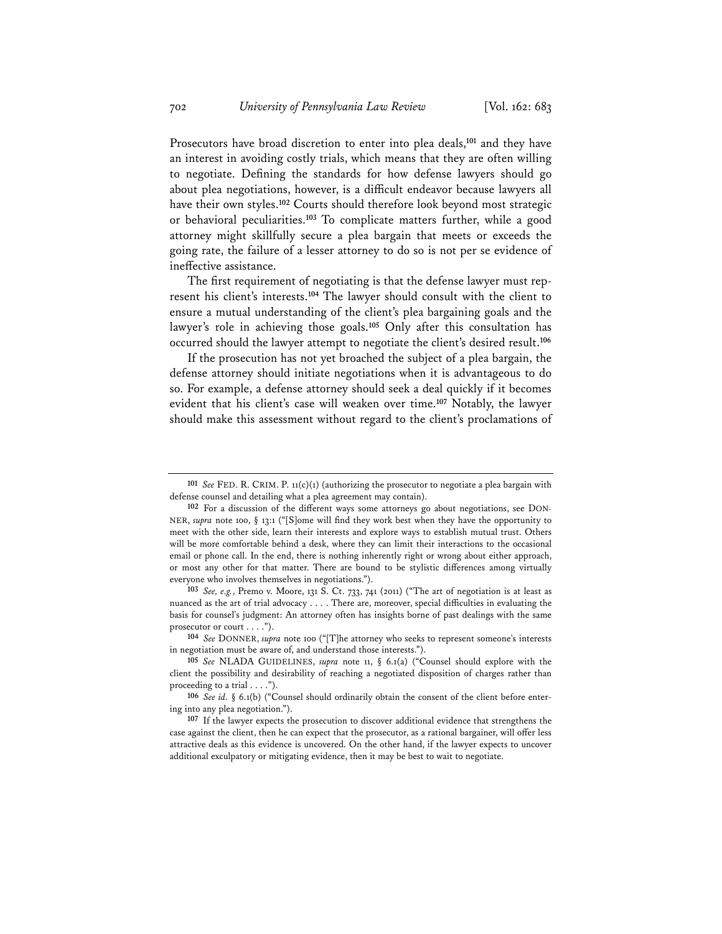Prosecutors have broad discretion to enter into plea deals,**<sup>101</sup>** and they have an interest in avoiding costly trials, which means that they are often willing to negotiate. Defining the standards for how defense lawyers should go about plea negotiations, however, is a difficult endeavor because lawyers all have their own styles.**<sup>102</sup>** Courts should therefore look beyond most strategic or behavioral peculiarities.**<sup>103</sup>** To complicate matters further, while a good attorney might skillfully secure a plea bargain that meets or exceeds the going rate, the failure of a lesser attorney to do so is not per se evidence of ineffective assistance.

The first requirement of negotiating is that the defense lawyer must represent his client's interests.**<sup>104</sup>** The lawyer should consult with the client to ensure a mutual understanding of the client's plea bargaining goals and the lawyer's role in achieving those goals.**<sup>105</sup>** Only after this consultation has occurred should the lawyer attempt to negotiate the client's desired result.**<sup>106</sup>**

If the prosecution has not yet broached the subject of a plea bargain, the defense attorney should initiate negotiations when it is advantageous to do so. For example, a defense attorney should seek a deal quickly if it becomes evident that his client's case will weaken over time.**<sup>107</sup>** Notably, the lawyer should make this assessment without regard to the client's proclamations of

**<sup>101</sup>** *See* FED. R. CRIM. P. 11(c)(1) (authorizing the prosecutor to negotiate a plea bargain with defense counsel and detailing what a plea agreement may contain).

**<sup>102</sup>** For a discussion of the different ways some attorneys go about negotiations, see DON-NER, *supra* note 100, § 13:1 ("[S]ome will find they work best when they have the opportunity to meet with the other side, learn their interests and explore ways to establish mutual trust. Others will be more comfortable behind a desk, where they can limit their interactions to the occasional email or phone call. In the end, there is nothing inherently right or wrong about either approach, or most any other for that matter. There are bound to be stylistic differences among virtually everyone who involves themselves in negotiations.").

**<sup>103</sup>** *See, e.g.*, Premo v. Moore, 131 S. Ct. 733, 741 (2011) ("The art of negotiation is at least as nuanced as the art of trial advocacy . . . . There are, moreover, special difficulties in evaluating the basis for counsel's judgment: An attorney often has insights borne of past dealings with the same prosecutor or court . . . .").

**<sup>104</sup>** *See* DONNER, *supra* note 100 ("[T]he attorney who seeks to represent someone's interests in negotiation must be aware of, and understand those interests.").

**<sup>105</sup>** *See* NLADA GUIDELINES, *supra* note 11, § 6.1(a) ("Counsel should explore with the client the possibility and desirability of reaching a negotiated disposition of charges rather than proceeding to a trial . . . .").

**<sup>106</sup>** *See id.* § 6.1(b) ("Counsel should ordinarily obtain the consent of the client before entering into any plea negotiation.").

**<sup>107</sup>** If the lawyer expects the prosecution to discover additional evidence that strengthens the case against the client, then he can expect that the prosecutor, as a rational bargainer, will offer less attractive deals as this evidence is uncovered. On the other hand, if the lawyer expects to uncover additional exculpatory or mitigating evidence, then it may be best to wait to negotiate.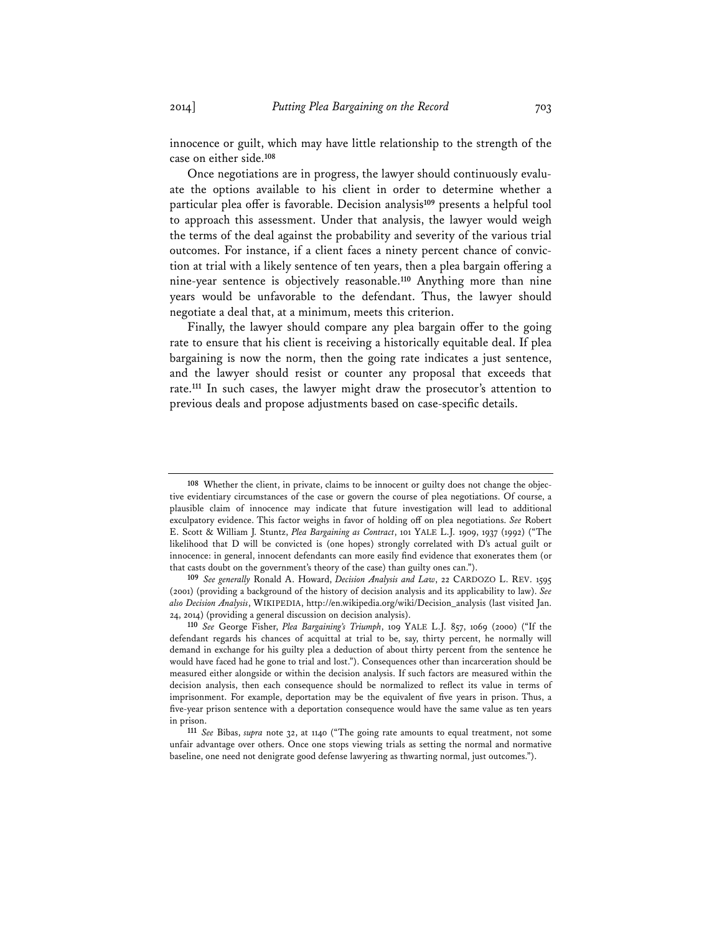innocence or guilt, which may have little relationship to the strength of the case on either side.**<sup>108</sup>**

Once negotiations are in progress, the lawyer should continuously evaluate the options available to his client in order to determine whether a particular plea offer is favorable. Decision analysis**<sup>109</sup>** presents a helpful tool to approach this assessment. Under that analysis, the lawyer would weigh the terms of the deal against the probability and severity of the various trial outcomes. For instance, if a client faces a ninety percent chance of conviction at trial with a likely sentence of ten years, then a plea bargain offering a nine-year sentence is objectively reasonable.**<sup>110</sup>** Anything more than nine years would be unfavorable to the defendant. Thus, the lawyer should negotiate a deal that, at a minimum, meets this criterion.

Finally, the lawyer should compare any plea bargain offer to the going rate to ensure that his client is receiving a historically equitable deal. If plea bargaining is now the norm, then the going rate indicates a just sentence, and the lawyer should resist or counter any proposal that exceeds that rate.**<sup>111</sup>** In such cases, the lawyer might draw the prosecutor's attention to previous deals and propose adjustments based on case-specific details.

**<sup>108</sup>** Whether the client, in private, claims to be innocent or guilty does not change the objective evidentiary circumstances of the case or govern the course of plea negotiations. Of course, a plausible claim of innocence may indicate that future investigation will lead to additional exculpatory evidence. This factor weighs in favor of holding off on plea negotiations. *See* Robert E. Scott & William J. Stuntz, *Plea Bargaining as Contract*, 101 YALE L.J. 1909, 1937 (1992) ("The likelihood that D will be convicted is (one hopes) strongly correlated with D's actual guilt or innocence: in general, innocent defendants can more easily find evidence that exonerates them (or that casts doubt on the government's theory of the case) than guilty ones can.").

**<sup>109</sup>** *See generally* Ronald A. Howard, *Decision Analysis and Law*, 22 CARDOZO L. REV. 1595 (2001) (providing a background of the history of decision analysis and its applicability to law). *See also Decision Analysis*, WIKIPEDIA, http://en.wikipedia.org/wiki/Decision\_analysis (last visited Jan. 24, 2014) (providing a general discussion on decision analysis).

**<sup>110</sup>** *See* George Fisher, *Plea Bargaining's Triumph*, 109 YALE L.J. 857, 1069 (2000) ("If the defendant regards his chances of acquittal at trial to be, say, thirty percent, he normally will demand in exchange for his guilty plea a deduction of about thirty percent from the sentence he would have faced had he gone to trial and lost."). Consequences other than incarceration should be measured either alongside or within the decision analysis. If such factors are measured within the decision analysis, then each consequence should be normalized to reflect its value in terms of imprisonment. For example, deportation may be the equivalent of five years in prison. Thus, a five-year prison sentence with a deportation consequence would have the same value as ten years in prison.

**<sup>111</sup>** *See* Bibas, *supra* note 32, at 1140 ("The going rate amounts to equal treatment, not some unfair advantage over others. Once one stops viewing trials as setting the normal and normative baseline, one need not denigrate good defense lawyering as thwarting normal, just outcomes.").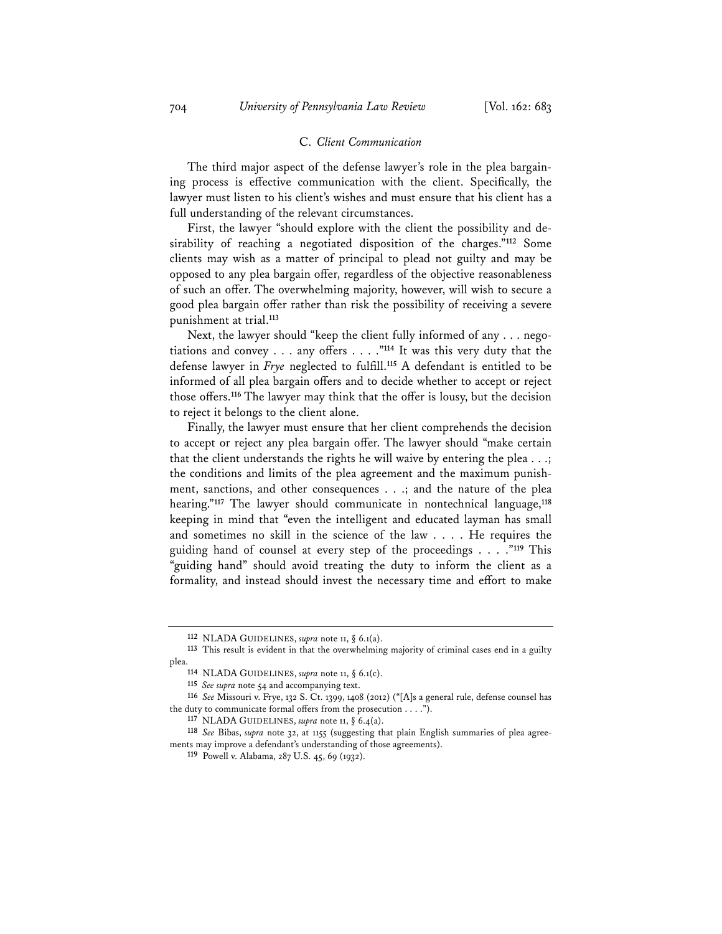#### C. *Client Communication*

The third major aspect of the defense lawyer's role in the plea bargaining process is effective communication with the client. Specifically, the lawyer must listen to his client's wishes and must ensure that his client has a full understanding of the relevant circumstances.

First, the lawyer "should explore with the client the possibility and desirability of reaching a negotiated disposition of the charges."**<sup>112</sup>** Some clients may wish as a matter of principal to plead not guilty and may be opposed to any plea bargain offer, regardless of the objective reasonableness of such an offer. The overwhelming majority, however, will wish to secure a good plea bargain offer rather than risk the possibility of receiving a severe punishment at trial.**<sup>113</sup>**

Next, the lawyer should "keep the client fully informed of any . . . negotiations and convey . . . any offers . . . ."**<sup>114</sup>** It was this very duty that the defense lawyer in *Frye* neglected to fulfill.**<sup>115</sup>** A defendant is entitled to be informed of all plea bargain offers and to decide whether to accept or reject those offers.**<sup>116</sup>** The lawyer may think that the offer is lousy, but the decision to reject it belongs to the client alone.

Finally, the lawyer must ensure that her client comprehends the decision to accept or reject any plea bargain offer. The lawyer should "make certain that the client understands the rights he will waive by entering the plea . . .; the conditions and limits of the plea agreement and the maximum punishment, sanctions, and other consequences . . .; and the nature of the plea hearing."**<sup>117</sup>** The lawyer should communicate in nontechnical language,**<sup>118</sup>** keeping in mind that "even the intelligent and educated layman has small and sometimes no skill in the science of the law . . . . He requires the guiding hand of counsel at every step of the proceedings . . . ."**<sup>119</sup>** This "guiding hand" should avoid treating the duty to inform the client as a formality, and instead should invest the necessary time and effort to make

**<sup>112</sup>** NLADA GUIDELINES, *supra* note 11, § 6.1(a).

**<sup>113</sup>** This result is evident in that the overwhelming majority of criminal cases end in a guilty plea.

**<sup>114</sup>** NLADA GUIDELINES, *supra* note 11, § 6.1(c).

**<sup>115</sup>** *See supra* note 54 and accompanying text.

**<sup>116</sup>** *See* Missouri v. Frye, 132 S. Ct. 1399, 1408 (2012) ("[A]s a general rule, defense counsel has the duty to communicate formal offers from the prosecution . . . .").

**<sup>117</sup>** NLADA GUIDELINES, *supra* note 11, § 6.4(a).

**<sup>118</sup>** *See* Bibas, *supra* note 32, at 1155 (suggesting that plain English summaries of plea agreements may improve a defendant's understanding of those agreements).

**<sup>119</sup>** Powell v. Alabama, 287 U.S. 45, 69 (1932).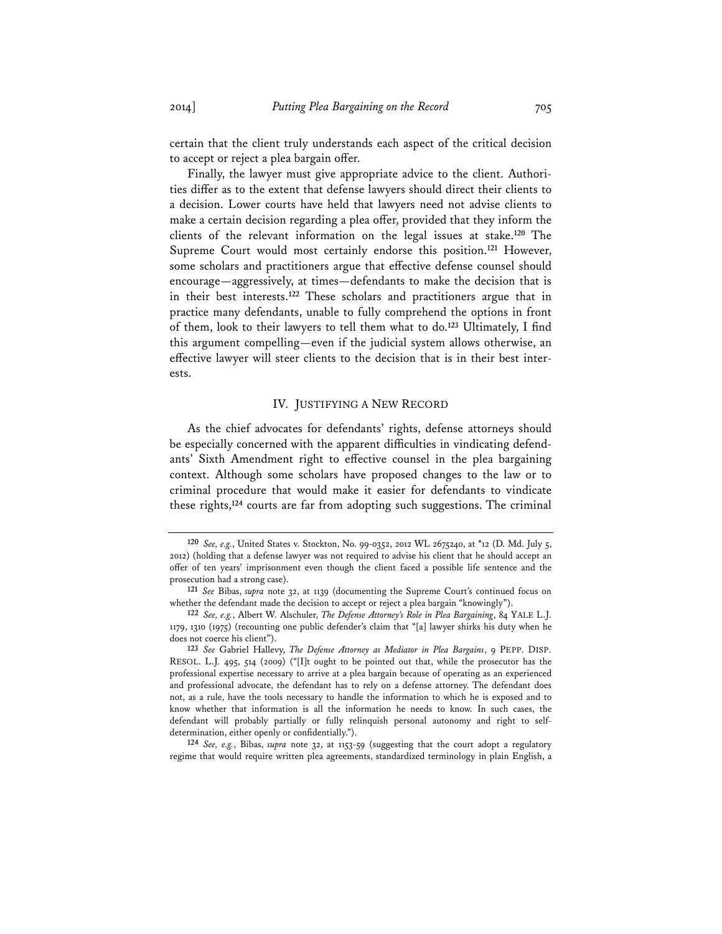certain that the client truly understands each aspect of the critical decision to accept or reject a plea bargain offer.

Finally, the lawyer must give appropriate advice to the client. Authorities differ as to the extent that defense lawyers should direct their clients to a decision. Lower courts have held that lawyers need not advise clients to make a certain decision regarding a plea offer, provided that they inform the clients of the relevant information on the legal issues at stake.**<sup>120</sup>** The Supreme Court would most certainly endorse this position.**<sup>121</sup>** However, some scholars and practitioners argue that effective defense counsel should encourage—aggressively, at times—defendants to make the decision that is in their best interests.**<sup>122</sup>** These scholars and practitioners argue that in practice many defendants, unable to fully comprehend the options in front of them, look to their lawyers to tell them what to do.**<sup>123</sup>** Ultimately, I find this argument compelling—even if the judicial system allows otherwise, an effective lawyer will steer clients to the decision that is in their best interests.

#### IV. JUSTIFYING A NEW RECORD

As the chief advocates for defendants' rights, defense attorneys should be especially concerned with the apparent difficulties in vindicating defendants' Sixth Amendment right to effective counsel in the plea bargaining context. Although some scholars have proposed changes to the law or to criminal procedure that would make it easier for defendants to vindicate these rights,**<sup>124</sup>** courts are far from adopting such suggestions. The criminal

**124** *See, e.g.*, Bibas, *supra* note 32, at 1153-59 (suggesting that the court adopt a regulatory regime that would require written plea agreements, standardized terminology in plain English, a

**<sup>120</sup>** *See, e.g.*, United States v. Stockton, No. 99-0352, 2012 WL 2675240, at \*12 (D. Md. July 5, 2012) (holding that a defense lawyer was not required to advise his client that he should accept an offer of ten years' imprisonment even though the client faced a possible life sentence and the prosecution had a strong case).

**<sup>121</sup>** *See* Bibas, *supra* note 32, at 1139 (documenting the Supreme Court's continued focus on whether the defendant made the decision to accept or reject a plea bargain "knowingly").

**<sup>122</sup>** *See, e.g.*, Albert W. Alschuler, *The Defense Attorney's Role in Plea Bargaining*, 84 YALE L.J. 1179, 1310 (1975) (recounting one public defender's claim that "[a] lawyer shirks his duty when he does not coerce his client").

**<sup>123</sup>** *See* Gabriel Hallevy, *The Defense Attorney as Mediator in Plea Bargains*, 9 PEPP. DISP. RESOL. L.J. 495, 514 (2009) ("[I]t ought to be pointed out that, while the prosecutor has the professional expertise necessary to arrive at a plea bargain because of operating as an experienced and professional advocate, the defendant has to rely on a defense attorney. The defendant does not, as a rule, have the tools necessary to handle the information to which he is exposed and to know whether that information is all the information he needs to know. In such cases, the defendant will probably partially or fully relinquish personal autonomy and right to selfdetermination, either openly or confidentially.").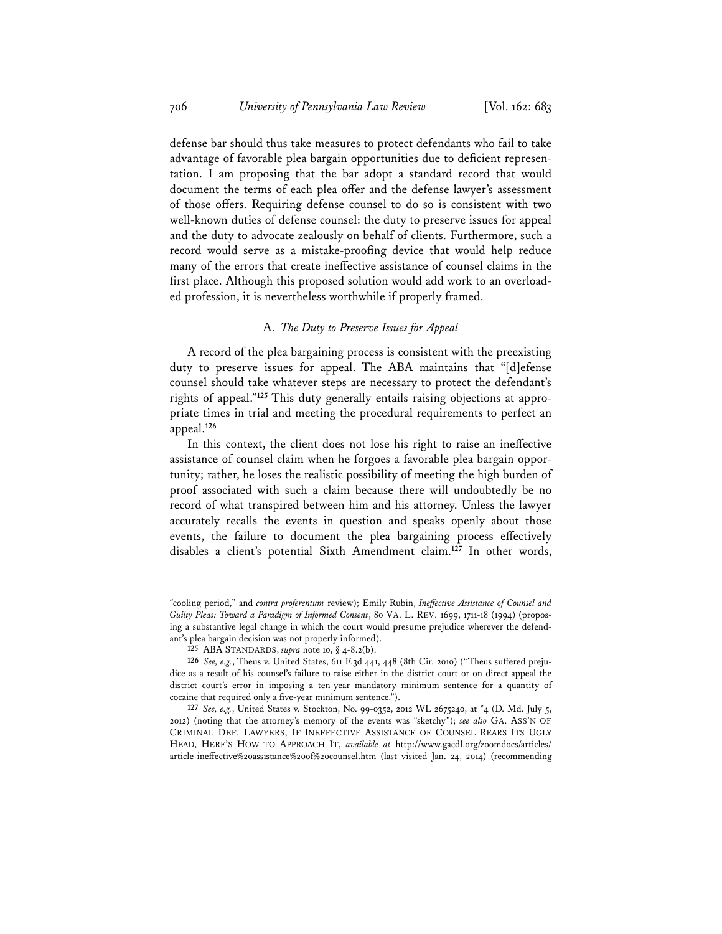defense bar should thus take measures to protect defendants who fail to take advantage of favorable plea bargain opportunities due to deficient representation. I am proposing that the bar adopt a standard record that would document the terms of each plea offer and the defense lawyer's assessment of those offers. Requiring defense counsel to do so is consistent with two well-known duties of defense counsel: the duty to preserve issues for appeal and the duty to advocate zealously on behalf of clients. Furthermore, such a record would serve as a mistake-proofing device that would help reduce many of the errors that create ineffective assistance of counsel claims in the first place. Although this proposed solution would add work to an overloaded profession, it is nevertheless worthwhile if properly framed.

#### A. *The Duty to Preserve Issues for Appeal*

A record of the plea bargaining process is consistent with the preexisting duty to preserve issues for appeal. The ABA maintains that "[d]efense counsel should take whatever steps are necessary to protect the defendant's rights of appeal."**125** This duty generally entails raising objections at appropriate times in trial and meeting the procedural requirements to perfect an appeal.**<sup>126</sup>**

In this context, the client does not lose his right to raise an ineffective assistance of counsel claim when he forgoes a favorable plea bargain opportunity; rather, he loses the realistic possibility of meeting the high burden of proof associated with such a claim because there will undoubtedly be no record of what transpired between him and his attorney. Unless the lawyer accurately recalls the events in question and speaks openly about those events, the failure to document the plea bargaining process effectively disables a client's potential Sixth Amendment claim.**<sup>127</sup>** In other words,

<sup>&</sup>quot;cooling period," and *contra proferentum* review); Emily Rubin, *Ineffective Assistance of Counsel and Guilty Pleas: Toward a Paradigm of Informed Consent*, 80 VA. L. REV. 1699, 1711-18 (1994) (proposing a substantive legal change in which the court would presume prejudice wherever the defendant's plea bargain decision was not properly informed).

**<sup>125</sup>** ABA STANDARDS, *supra* note 10, § 4-8.2(b).

**<sup>126</sup>** *See, e.g.*, Theus v. United States, 611 F.3d 441, 448 (8th Cir. 2010) ("Theus suffered prejudice as a result of his counsel's failure to raise either in the district court or on direct appeal the district court's error in imposing a ten-year mandatory minimum sentence for a quantity of cocaine that required only a five-year minimum sentence.").

**<sup>127</sup>** *See, e.g.*, United States v. Stockton, No. 99-0352, 2012 WL 2675240, at \*4 (D. Md. July 5, 2012) (noting that the attorney's memory of the events was "sketchy"); *see also* GA. ASS'N OF CRIMINAL DEF. LAWYERS, IF INEFFECTIVE ASSISTANCE OF COUNSEL REARS ITS UGLY HEAD, HERE'S HOW TO APPROACH IT, *available at* http://www.gacdl.org/zoomdocs/articles/ article-ineffective%20assistance%20of%20counsel.htm (last visited Jan. 24, 2014) (recommending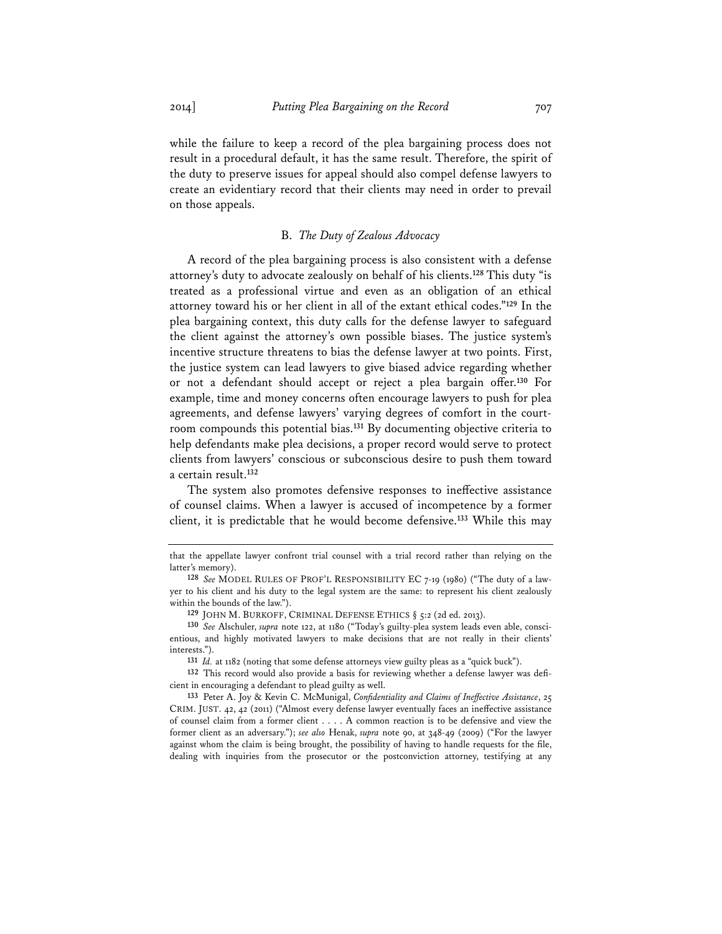while the failure to keep a record of the plea bargaining process does not result in a procedural default, it has the same result. Therefore, the spirit of the duty to preserve issues for appeal should also compel defense lawyers to create an evidentiary record that their clients may need in order to prevail on those appeals.

#### B. *The Duty of Zealous Advocacy*

A record of the plea bargaining process is also consistent with a defense attorney's duty to advocate zealously on behalf of his clients.**<sup>128</sup>** This duty "is treated as a professional virtue and even as an obligation of an ethical attorney toward his or her client in all of the extant ethical codes."**<sup>129</sup>** In the plea bargaining context, this duty calls for the defense lawyer to safeguard the client against the attorney's own possible biases. The justice system's incentive structure threatens to bias the defense lawyer at two points. First, the justice system can lead lawyers to give biased advice regarding whether or not a defendant should accept or reject a plea bargain offer.**<sup>130</sup>** For example, time and money concerns often encourage lawyers to push for plea agreements, and defense lawyers' varying degrees of comfort in the courtroom compounds this potential bias.**<sup>131</sup>** By documenting objective criteria to help defendants make plea decisions, a proper record would serve to protect clients from lawyers' conscious or subconscious desire to push them toward a certain result.**<sup>132</sup>**

The system also promotes defensive responses to ineffective assistance of counsel claims. When a lawyer is accused of incompetence by a former client, it is predictable that he would become defensive.**<sup>133</sup>** While this may

**131** *Id.* at 1182 (noting that some defense attorneys view guilty pleas as a "quick buck").

**132** This record would also provide a basis for reviewing whether a defense lawyer was deficient in encouraging a defendant to plead guilty as well.

**133** Peter A. Joy & Kevin C. McMunigal, *Confidentiality and Claims of Ineffective Assistance*, 25 CRIM. JUST. 42, 42 (2011) ("Almost every defense lawyer eventually faces an ineffective assistance of counsel claim from a former client . . . . A common reaction is to be defensive and view the former client as an adversary."); *see also* Henak, *supra* note 90, at 348-49 (2009) ("For the lawyer against whom the claim is being brought, the possibility of having to handle requests for the file, dealing with inquiries from the prosecutor or the postconviction attorney, testifying at any

that the appellate lawyer confront trial counsel with a trial record rather than relying on the latter's memory).

**<sup>128</sup>** *See* MODEL RULES OF PROF'L RESPONSIBILITY EC 7-19 (1980) ("The duty of a lawyer to his client and his duty to the legal system are the same: to represent his client zealously within the bounds of the law.").

**<sup>129</sup>** JOHN M. BURKOFF, CRIMINAL DEFENSE ETHICS § 5:2 (2d ed. 2013).

**<sup>130</sup>** *See* Alschuler, *supra* note 122, at 1180 ("Today's guilty-plea system leads even able, conscientious, and highly motivated lawyers to make decisions that are not really in their clients' interests.").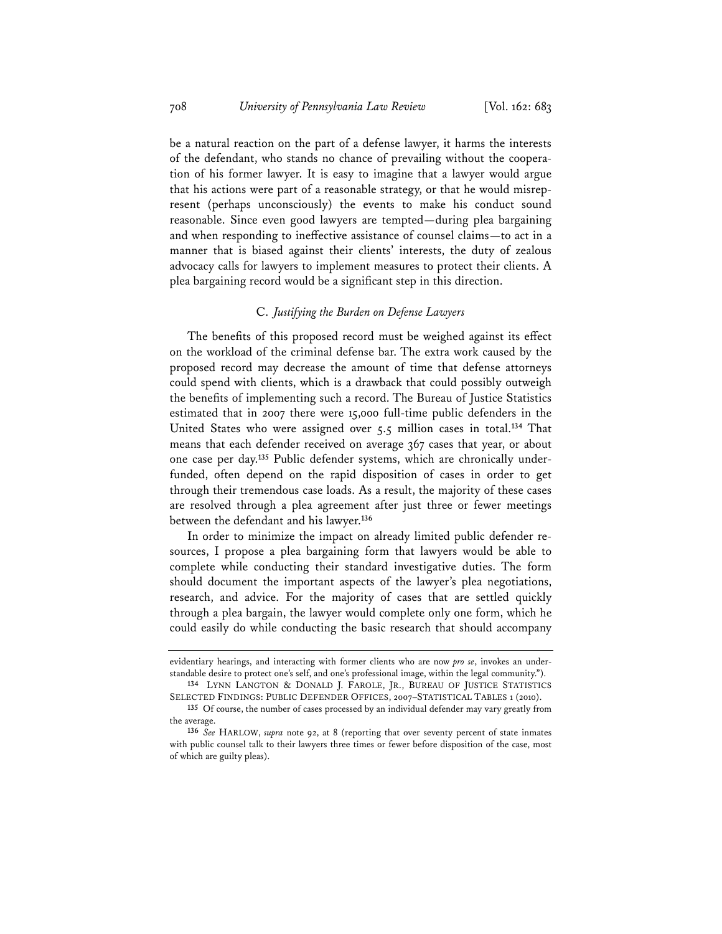be a natural reaction on the part of a defense lawyer, it harms the interests of the defendant, who stands no chance of prevailing without the cooperation of his former lawyer. It is easy to imagine that a lawyer would argue that his actions were part of a reasonable strategy, or that he would misrepresent (perhaps unconsciously) the events to make his conduct sound reasonable. Since even good lawyers are tempted—during plea bargaining and when responding to ineffective assistance of counsel claims—to act in a manner that is biased against their clients' interests, the duty of zealous advocacy calls for lawyers to implement measures to protect their clients. A plea bargaining record would be a significant step in this direction.

# C. *Justifying the Burden on Defense Lawyers*

The benefits of this proposed record must be weighed against its effect on the workload of the criminal defense bar. The extra work caused by the proposed record may decrease the amount of time that defense attorneys could spend with clients, which is a drawback that could possibly outweigh the benefits of implementing such a record. The Bureau of Justice Statistics estimated that in 2007 there were 15,000 full-time public defenders in the United States who were assigned over 5.5 million cases in total.**<sup>134</sup>** That means that each defender received on average 367 cases that year, or about one case per day.**135** Public defender systems, which are chronically underfunded, often depend on the rapid disposition of cases in order to get through their tremendous case loads. As a result, the majority of these cases are resolved through a plea agreement after just three or fewer meetings between the defendant and his lawyer.**<sup>136</sup>**

In order to minimize the impact on already limited public defender resources, I propose a plea bargaining form that lawyers would be able to complete while conducting their standard investigative duties. The form should document the important aspects of the lawyer's plea negotiations, research, and advice. For the majority of cases that are settled quickly through a plea bargain, the lawyer would complete only one form, which he could easily do while conducting the basic research that should accompany

evidentiary hearings, and interacting with former clients who are now *pro se*, invokes an understandable desire to protect one's self, and one's professional image, within the legal community.").

**<sup>134</sup>** LYNN LANGTON & DONALD J. FAROLE, JR., BUREAU OF JUSTICE STATISTICS SELECTED FINDINGS: PUBLIC DEFENDER OFFICES, 2007–STATISTICAL TABLES 1 (2010).

**<sup>135</sup>** Of course, the number of cases processed by an individual defender may vary greatly from the average.

**<sup>136</sup>** *See* HARLOW, *supra* note 92, at 8 (reporting that over seventy percent of state inmates with public counsel talk to their lawyers three times or fewer before disposition of the case, most of which are guilty pleas).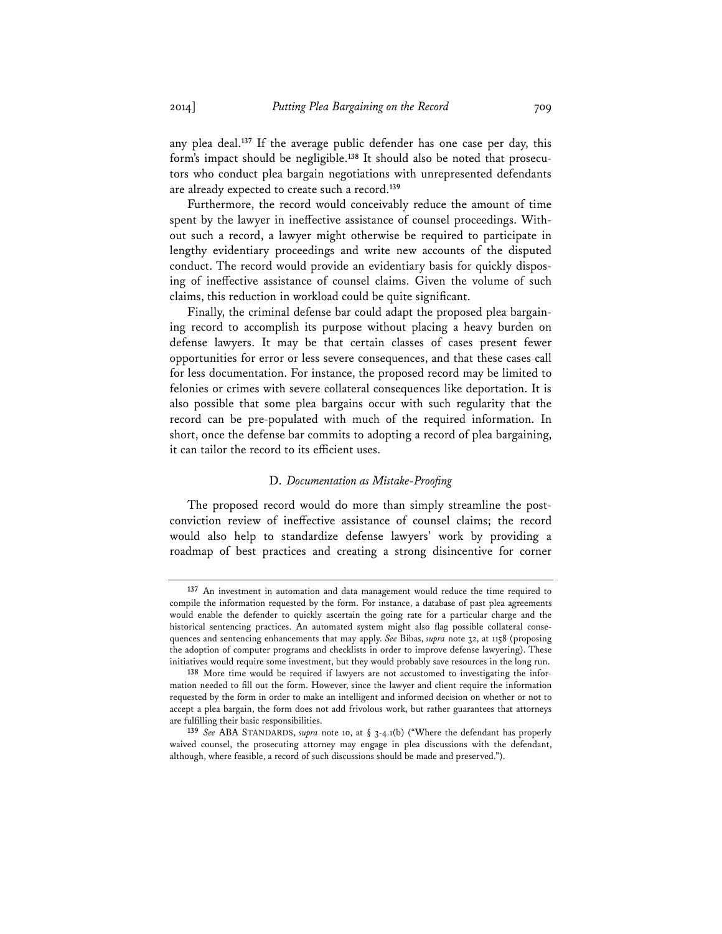any plea deal.**<sup>137</sup>** If the average public defender has one case per day, this form's impact should be negligible.**138** It should also be noted that prosecutors who conduct plea bargain negotiations with unrepresented defendants are already expected to create such a record.**<sup>139</sup>**

Furthermore, the record would conceivably reduce the amount of time spent by the lawyer in ineffective assistance of counsel proceedings. Without such a record, a lawyer might otherwise be required to participate in lengthy evidentiary proceedings and write new accounts of the disputed conduct. The record would provide an evidentiary basis for quickly disposing of ineffective assistance of counsel claims. Given the volume of such claims, this reduction in workload could be quite significant.

Finally, the criminal defense bar could adapt the proposed plea bargaining record to accomplish its purpose without placing a heavy burden on defense lawyers. It may be that certain classes of cases present fewer opportunities for error or less severe consequences, and that these cases call for less documentation. For instance, the proposed record may be limited to felonies or crimes with severe collateral consequences like deportation. It is also possible that some plea bargains occur with such regularity that the record can be pre-populated with much of the required information. In short, once the defense bar commits to adopting a record of plea bargaining, it can tailor the record to its efficient uses.

#### D. *Documentation as Mistake-Proofing*

The proposed record would do more than simply streamline the postconviction review of ineffective assistance of counsel claims; the record would also help to standardize defense lawyers' work by providing a roadmap of best practices and creating a strong disincentive for corner

**<sup>137</sup>** An investment in automation and data management would reduce the time required to compile the information requested by the form. For instance, a database of past plea agreements would enable the defender to quickly ascertain the going rate for a particular charge and the historical sentencing practices. An automated system might also flag possible collateral consequences and sentencing enhancements that may apply. *See* Bibas, *supra* note 32, at 1158 (proposing the adoption of computer programs and checklists in order to improve defense lawyering). These initiatives would require some investment, but they would probably save resources in the long run.

**<sup>138</sup>** More time would be required if lawyers are not accustomed to investigating the information needed to fill out the form. However, since the lawyer and client require the information requested by the form in order to make an intelligent and informed decision on whether or not to accept a plea bargain, the form does not add frivolous work, but rather guarantees that attorneys are fulfilling their basic responsibilities.

**<sup>139</sup>** *See* ABA STANDARDS, *supra* note 10, at § 3-4.1(b) ("Where the defendant has properly waived counsel, the prosecuting attorney may engage in plea discussions with the defendant, although, where feasible, a record of such discussions should be made and preserved.").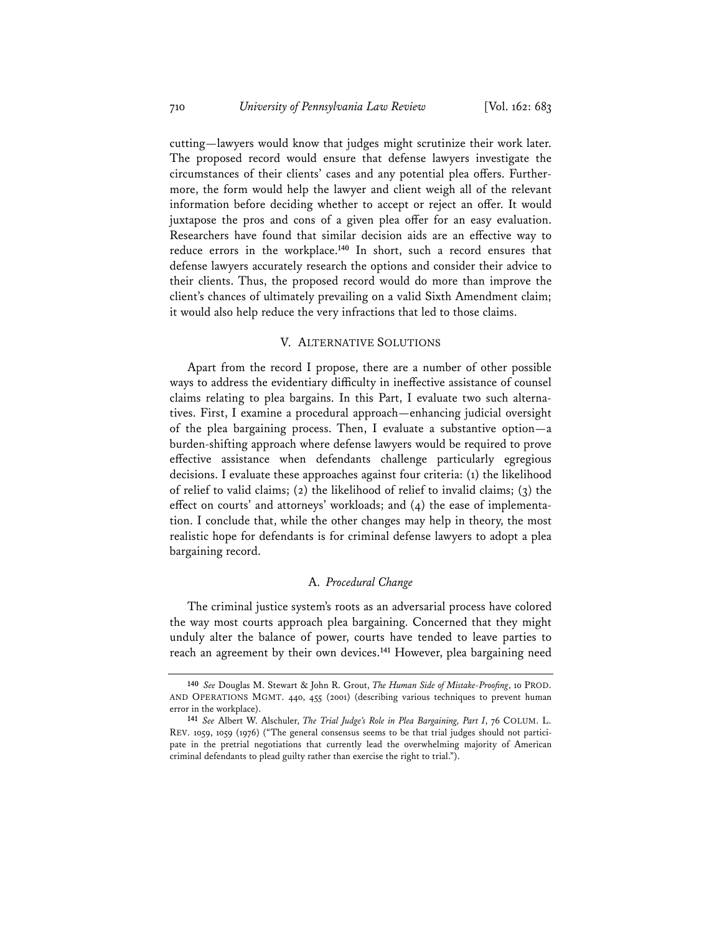cutting—lawyers would know that judges might scrutinize their work later. The proposed record would ensure that defense lawyers investigate the circumstances of their clients' cases and any potential plea offers. Furthermore, the form would help the lawyer and client weigh all of the relevant information before deciding whether to accept or reject an offer. It would juxtapose the pros and cons of a given plea offer for an easy evaluation. Researchers have found that similar decision aids are an effective way to reduce errors in the workplace.**<sup>140</sup>** In short, such a record ensures that defense lawyers accurately research the options and consider their advice to their clients. Thus, the proposed record would do more than improve the client's chances of ultimately prevailing on a valid Sixth Amendment claim; it would also help reduce the very infractions that led to those claims.

# V. ALTERNATIVE SOLUTIONS

Apart from the record I propose, there are a number of other possible ways to address the evidentiary difficulty in ineffective assistance of counsel claims relating to plea bargains. In this Part, I evaluate two such alternatives. First, I examine a procedural approach—enhancing judicial oversight of the plea bargaining process. Then, I evaluate a substantive option—a burden-shifting approach where defense lawyers would be required to prove effective assistance when defendants challenge particularly egregious decisions. I evaluate these approaches against four criteria: (1) the likelihood of relief to valid claims; (2) the likelihood of relief to invalid claims; (3) the effect on courts' and attorneys' workloads; and (4) the ease of implementation. I conclude that, while the other changes may help in theory, the most realistic hope for defendants is for criminal defense lawyers to adopt a plea bargaining record.

# A. *Procedural Change*

The criminal justice system's roots as an adversarial process have colored the way most courts approach plea bargaining. Concerned that they might unduly alter the balance of power, courts have tended to leave parties to reach an agreement by their own devices.**<sup>141</sup>** However, plea bargaining need

**<sup>140</sup>** *See* Douglas M. Stewart & John R. Grout, *The Human Side of Mistake-Proofing*, 10 PROD. AND OPERATIONS MGMT. 440, 455 (2001) (describing various techniques to prevent human error in the workplace).

**<sup>141</sup>** *See* Albert W. Alschuler, *The Trial Judge's Role in Plea Bargaining, Part I*, 76 COLUM. L. REV. 1059, 1059 (1976) ("The general consensus seems to be that trial judges should not participate in the pretrial negotiations that currently lead the overwhelming majority of American criminal defendants to plead guilty rather than exercise the right to trial.").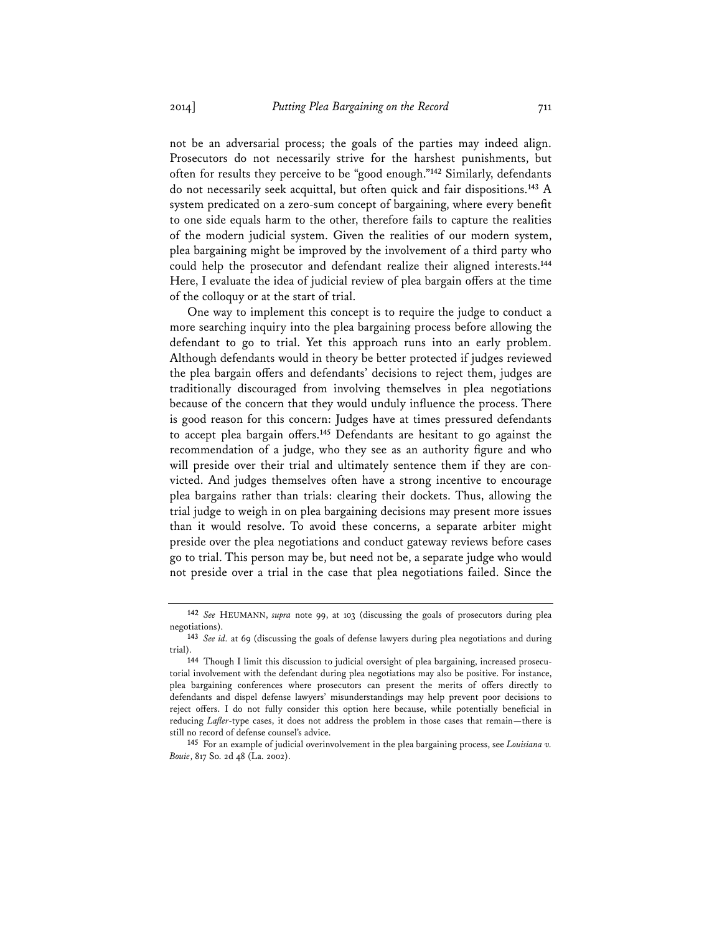not be an adversarial process; the goals of the parties may indeed align. Prosecutors do not necessarily strive for the harshest punishments, but often for results they perceive to be "good enough."**<sup>142</sup>** Similarly, defendants do not necessarily seek acquittal, but often quick and fair dispositions.**<sup>143</sup>** A system predicated on a zero-sum concept of bargaining, where every benefit to one side equals harm to the other, therefore fails to capture the realities of the modern judicial system. Given the realities of our modern system, plea bargaining might be improved by the involvement of a third party who could help the prosecutor and defendant realize their aligned interests.**<sup>144</sup>** Here, I evaluate the idea of judicial review of plea bargain offers at the time of the colloquy or at the start of trial.

One way to implement this concept is to require the judge to conduct a more searching inquiry into the plea bargaining process before allowing the defendant to go to trial. Yet this approach runs into an early problem. Although defendants would in theory be better protected if judges reviewed the plea bargain offers and defendants' decisions to reject them, judges are traditionally discouraged from involving themselves in plea negotiations because of the concern that they would unduly influence the process. There is good reason for this concern: Judges have at times pressured defendants to accept plea bargain offers.**<sup>145</sup>** Defendants are hesitant to go against the recommendation of a judge, who they see as an authority figure and who will preside over their trial and ultimately sentence them if they are convicted. And judges themselves often have a strong incentive to encourage plea bargains rather than trials: clearing their dockets. Thus, allowing the trial judge to weigh in on plea bargaining decisions may present more issues than it would resolve. To avoid these concerns, a separate arbiter might preside over the plea negotiations and conduct gateway reviews before cases go to trial. This person may be, but need not be, a separate judge who would not preside over a trial in the case that plea negotiations failed. Since the

**<sup>142</sup>** *See* HEUMANN, *supra* note 99, at 103 (discussing the goals of prosecutors during plea negotiations).

**<sup>143</sup>** *See id.* at 69 (discussing the goals of defense lawyers during plea negotiations and during trial).

**<sup>144</sup>** Though I limit this discussion to judicial oversight of plea bargaining, increased prosecutorial involvement with the defendant during plea negotiations may also be positive. For instance, plea bargaining conferences where prosecutors can present the merits of offers directly to defendants and dispel defense lawyers' misunderstandings may help prevent poor decisions to reject offers. I do not fully consider this option here because, while potentially beneficial in reducing *Lafler*-type cases, it does not address the problem in those cases that remain—there is still no record of defense counsel's advice.

**<sup>145</sup>** For an example of judicial overinvolvement in the plea bargaining process, see *Louisiana v. Bouie*, 817 So. 2d 48 (La. 2002).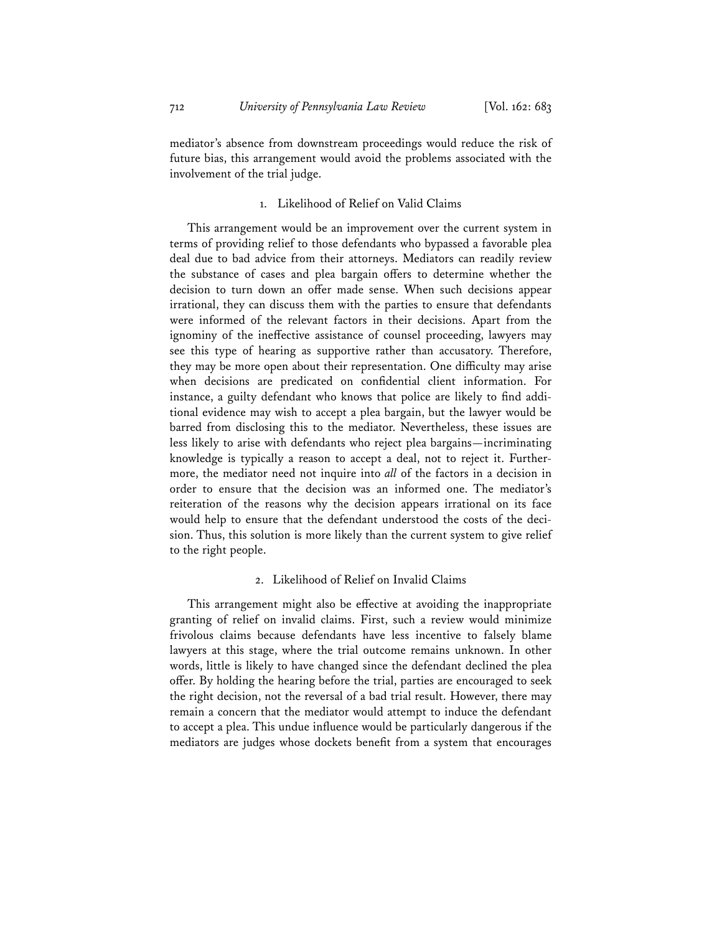mediator's absence from downstream proceedings would reduce the risk of future bias, this arrangement would avoid the problems associated with the involvement of the trial judge.

# 1. Likelihood of Relief on Valid Claims

This arrangement would be an improvement over the current system in terms of providing relief to those defendants who bypassed a favorable plea deal due to bad advice from their attorneys. Mediators can readily review the substance of cases and plea bargain offers to determine whether the decision to turn down an offer made sense. When such decisions appear irrational, they can discuss them with the parties to ensure that defendants were informed of the relevant factors in their decisions. Apart from the ignominy of the ineffective assistance of counsel proceeding, lawyers may see this type of hearing as supportive rather than accusatory. Therefore, they may be more open about their representation. One difficulty may arise when decisions are predicated on confidential client information. For instance, a guilty defendant who knows that police are likely to find additional evidence may wish to accept a plea bargain, but the lawyer would be barred from disclosing this to the mediator. Nevertheless, these issues are less likely to arise with defendants who reject plea bargains—incriminating knowledge is typically a reason to accept a deal, not to reject it. Furthermore, the mediator need not inquire into *all* of the factors in a decision in order to ensure that the decision was an informed one. The mediator's reiteration of the reasons why the decision appears irrational on its face would help to ensure that the defendant understood the costs of the decision. Thus, this solution is more likely than the current system to give relief to the right people.

## 2. Likelihood of Relief on Invalid Claims

This arrangement might also be effective at avoiding the inappropriate granting of relief on invalid claims. First, such a review would minimize frivolous claims because defendants have less incentive to falsely blame lawyers at this stage, where the trial outcome remains unknown. In other words, little is likely to have changed since the defendant declined the plea offer. By holding the hearing before the trial, parties are encouraged to seek the right decision, not the reversal of a bad trial result. However, there may remain a concern that the mediator would attempt to induce the defendant to accept a plea. This undue influence would be particularly dangerous if the mediators are judges whose dockets benefit from a system that encourages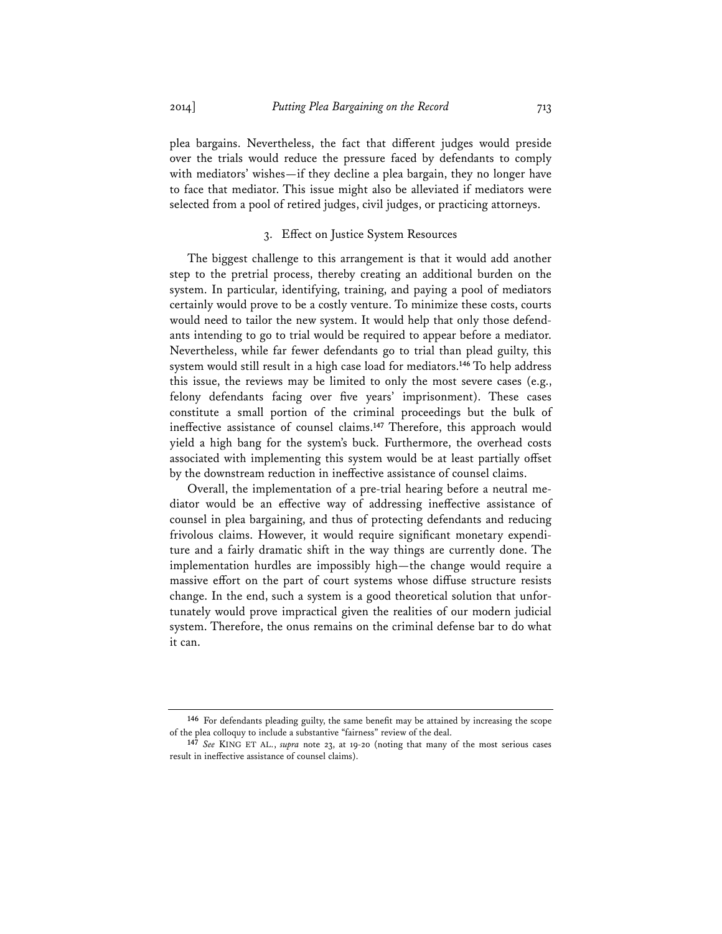plea bargains. Nevertheless, the fact that different judges would preside over the trials would reduce the pressure faced by defendants to comply with mediators' wishes—if they decline a plea bargain, they no longer have to face that mediator. This issue might also be alleviated if mediators were selected from a pool of retired judges, civil judges, or practicing attorneys.

# 3. Effect on Justice System Resources

The biggest challenge to this arrangement is that it would add another step to the pretrial process, thereby creating an additional burden on the system. In particular, identifying, training, and paying a pool of mediators certainly would prove to be a costly venture. To minimize these costs, courts would need to tailor the new system. It would help that only those defendants intending to go to trial would be required to appear before a mediator. Nevertheless, while far fewer defendants go to trial than plead guilty, this system would still result in a high case load for mediators.**<sup>146</sup>** To help address this issue, the reviews may be limited to only the most severe cases (e.g., felony defendants facing over five years' imprisonment). These cases constitute a small portion of the criminal proceedings but the bulk of ineffective assistance of counsel claims.**<sup>147</sup>** Therefore, this approach would yield a high bang for the system's buck. Furthermore, the overhead costs associated with implementing this system would be at least partially offset by the downstream reduction in ineffective assistance of counsel claims.

Overall, the implementation of a pre-trial hearing before a neutral mediator would be an effective way of addressing ineffective assistance of counsel in plea bargaining, and thus of protecting defendants and reducing frivolous claims. However, it would require significant monetary expenditure and a fairly dramatic shift in the way things are currently done. The implementation hurdles are impossibly high—the change would require a massive effort on the part of court systems whose diffuse structure resists change. In the end, such a system is a good theoretical solution that unfortunately would prove impractical given the realities of our modern judicial system. Therefore, the onus remains on the criminal defense bar to do what it can.

**<sup>146</sup>** For defendants pleading guilty, the same benefit may be attained by increasing the scope of the plea colloquy to include a substantive "fairness" review of the deal.

**<sup>147</sup>** *See* KING ET AL., *supra* note 23, at 19-20 (noting that many of the most serious cases result in ineffective assistance of counsel claims).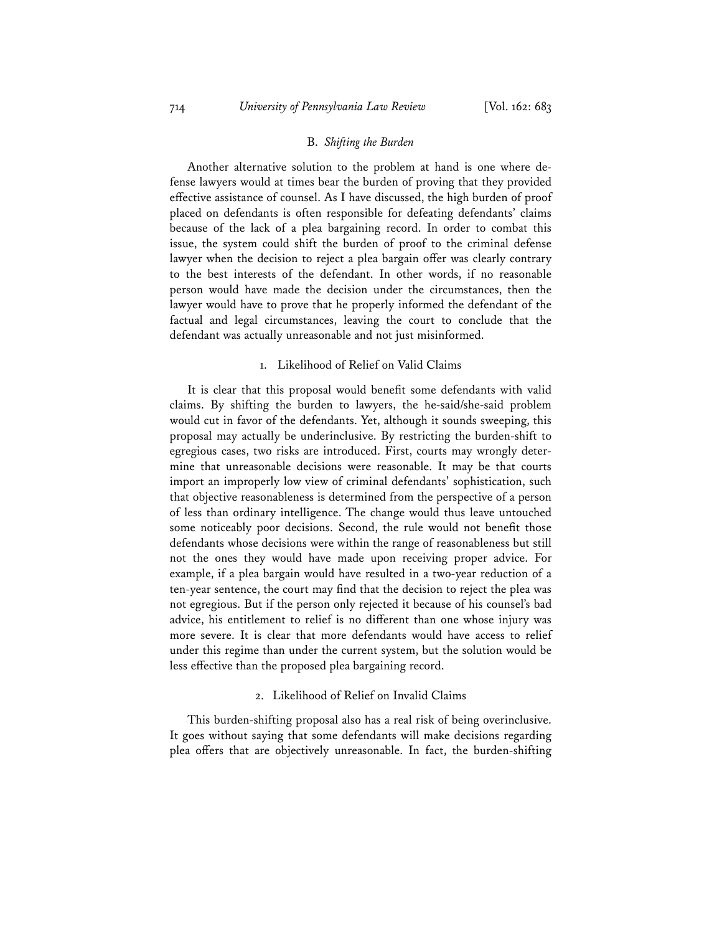#### B. *Shifting the Burden*

Another alternative solution to the problem at hand is one where defense lawyers would at times bear the burden of proving that they provided effective assistance of counsel. As I have discussed, the high burden of proof placed on defendants is often responsible for defeating defendants' claims because of the lack of a plea bargaining record. In order to combat this issue, the system could shift the burden of proof to the criminal defense lawyer when the decision to reject a plea bargain offer was clearly contrary to the best interests of the defendant. In other words, if no reasonable person would have made the decision under the circumstances, then the lawyer would have to prove that he properly informed the defendant of the factual and legal circumstances, leaving the court to conclude that the defendant was actually unreasonable and not just misinformed.

#### 1. Likelihood of Relief on Valid Claims

It is clear that this proposal would benefit some defendants with valid claims. By shifting the burden to lawyers, the he-said/she-said problem would cut in favor of the defendants. Yet, although it sounds sweeping, this proposal may actually be underinclusive. By restricting the burden-shift to egregious cases, two risks are introduced. First, courts may wrongly determine that unreasonable decisions were reasonable. It may be that courts import an improperly low view of criminal defendants' sophistication, such that objective reasonableness is determined from the perspective of a person of less than ordinary intelligence. The change would thus leave untouched some noticeably poor decisions. Second, the rule would not benefit those defendants whose decisions were within the range of reasonableness but still not the ones they would have made upon receiving proper advice. For example, if a plea bargain would have resulted in a two-year reduction of a ten-year sentence, the court may find that the decision to reject the plea was not egregious. But if the person only rejected it because of his counsel's bad advice, his entitlement to relief is no different than one whose injury was more severe. It is clear that more defendants would have access to relief under this regime than under the current system, but the solution would be less effective than the proposed plea bargaining record.

#### 2. Likelihood of Relief on Invalid Claims

This burden-shifting proposal also has a real risk of being overinclusive. It goes without saying that some defendants will make decisions regarding plea offers that are objectively unreasonable. In fact, the burden-shifting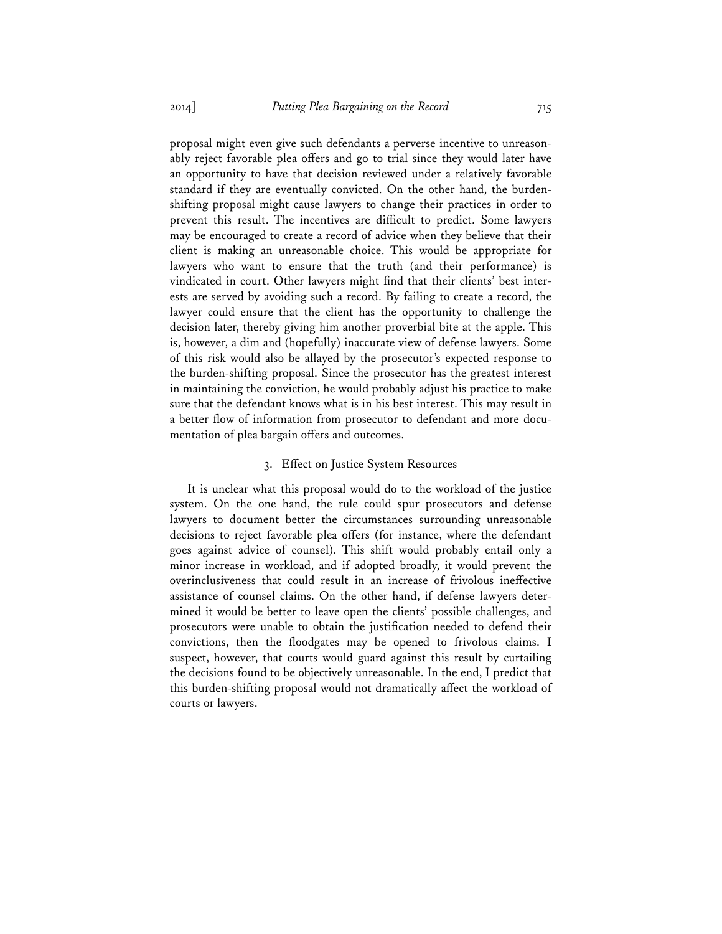proposal might even give such defendants a perverse incentive to unreasonably reject favorable plea offers and go to trial since they would later have an opportunity to have that decision reviewed under a relatively favorable standard if they are eventually convicted. On the other hand, the burdenshifting proposal might cause lawyers to change their practices in order to prevent this result. The incentives are difficult to predict. Some lawyers may be encouraged to create a record of advice when they believe that their client is making an unreasonable choice. This would be appropriate for lawyers who want to ensure that the truth (and their performance) is vindicated in court. Other lawyers might find that their clients' best interests are served by avoiding such a record. By failing to create a record, the lawyer could ensure that the client has the opportunity to challenge the decision later, thereby giving him another proverbial bite at the apple. This is, however, a dim and (hopefully) inaccurate view of defense lawyers. Some of this risk would also be allayed by the prosecutor's expected response to the burden-shifting proposal. Since the prosecutor has the greatest interest in maintaining the conviction, he would probably adjust his practice to make sure that the defendant knows what is in his best interest. This may result in a better flow of information from prosecutor to defendant and more documentation of plea bargain offers and outcomes.

# 3. Effect on Justice System Resources

It is unclear what this proposal would do to the workload of the justice system. On the one hand, the rule could spur prosecutors and defense lawyers to document better the circumstances surrounding unreasonable decisions to reject favorable plea offers (for instance, where the defendant goes against advice of counsel). This shift would probably entail only a minor increase in workload, and if adopted broadly, it would prevent the overinclusiveness that could result in an increase of frivolous ineffective assistance of counsel claims. On the other hand, if defense lawyers determined it would be better to leave open the clients' possible challenges, and prosecutors were unable to obtain the justification needed to defend their convictions, then the floodgates may be opened to frivolous claims. I suspect, however, that courts would guard against this result by curtailing the decisions found to be objectively unreasonable. In the end, I predict that this burden-shifting proposal would not dramatically affect the workload of courts or lawyers.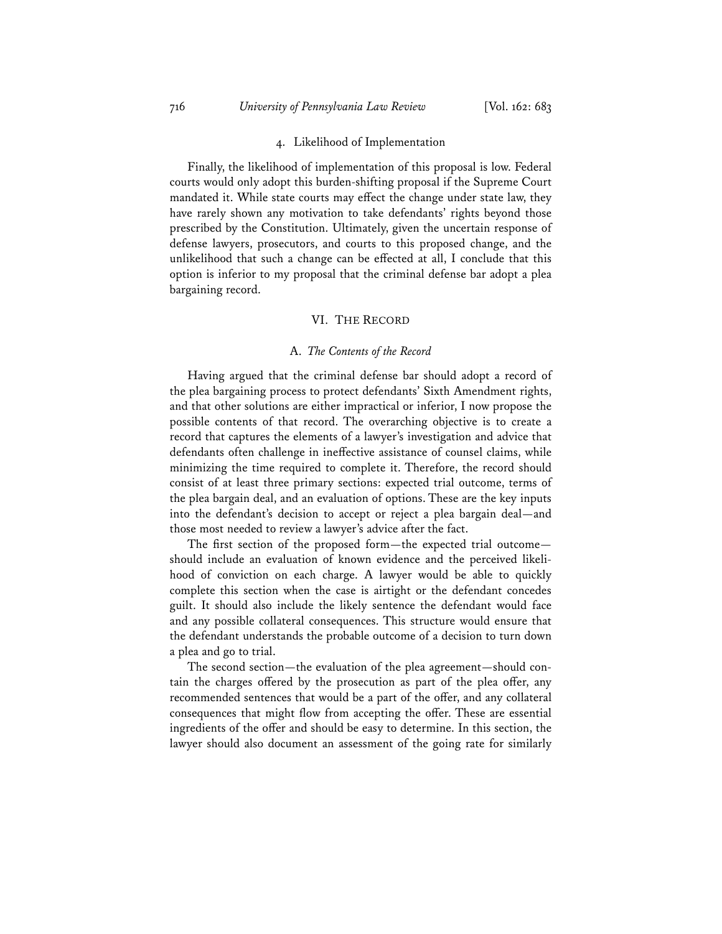### 4. Likelihood of Implementation

Finally, the likelihood of implementation of this proposal is low. Federal courts would only adopt this burden-shifting proposal if the Supreme Court mandated it. While state courts may effect the change under state law, they have rarely shown any motivation to take defendants' rights beyond those prescribed by the Constitution. Ultimately, given the uncertain response of defense lawyers, prosecutors, and courts to this proposed change, and the unlikelihood that such a change can be effected at all, I conclude that this option is inferior to my proposal that the criminal defense bar adopt a plea bargaining record.

#### VI. THE RECORD

# A. *The Contents of the Record*

Having argued that the criminal defense bar should adopt a record of the plea bargaining process to protect defendants' Sixth Amendment rights, and that other solutions are either impractical or inferior, I now propose the possible contents of that record. The overarching objective is to create a record that captures the elements of a lawyer's investigation and advice that defendants often challenge in ineffective assistance of counsel claims, while minimizing the time required to complete it. Therefore, the record should consist of at least three primary sections: expected trial outcome, terms of the plea bargain deal, and an evaluation of options. These are the key inputs into the defendant's decision to accept or reject a plea bargain deal—and those most needed to review a lawyer's advice after the fact.

The first section of the proposed form—the expected trial outcome should include an evaluation of known evidence and the perceived likelihood of conviction on each charge. A lawyer would be able to quickly complete this section when the case is airtight or the defendant concedes guilt. It should also include the likely sentence the defendant would face and any possible collateral consequences. This structure would ensure that the defendant understands the probable outcome of a decision to turn down a plea and go to trial.

The second section—the evaluation of the plea agreement—should contain the charges offered by the prosecution as part of the plea offer, any recommended sentences that would be a part of the offer, and any collateral consequences that might flow from accepting the offer. These are essential ingredients of the offer and should be easy to determine. In this section, the lawyer should also document an assessment of the going rate for similarly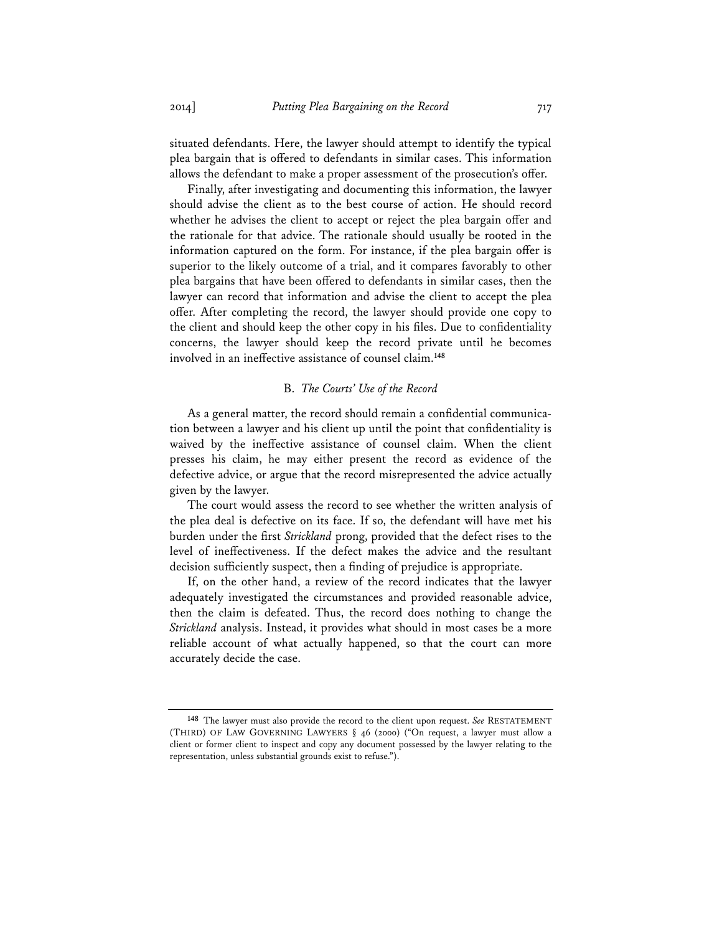situated defendants. Here, the lawyer should attempt to identify the typical plea bargain that is offered to defendants in similar cases. This information allows the defendant to make a proper assessment of the prosecution's offer.

Finally, after investigating and documenting this information, the lawyer should advise the client as to the best course of action. He should record whether he advises the client to accept or reject the plea bargain offer and the rationale for that advice. The rationale should usually be rooted in the information captured on the form. For instance, if the plea bargain offer is superior to the likely outcome of a trial, and it compares favorably to other plea bargains that have been offered to defendants in similar cases, then the lawyer can record that information and advise the client to accept the plea offer. After completing the record, the lawyer should provide one copy to the client and should keep the other copy in his files. Due to confidentiality concerns, the lawyer should keep the record private until he becomes involved in an ineffective assistance of counsel claim.**<sup>148</sup>**

#### B. *The Courts' Use of the Record*

As a general matter, the record should remain a confidential communication between a lawyer and his client up until the point that confidentiality is waived by the ineffective assistance of counsel claim. When the client presses his claim, he may either present the record as evidence of the defective advice, or argue that the record misrepresented the advice actually given by the lawyer.

The court would assess the record to see whether the written analysis of the plea deal is defective on its face. If so, the defendant will have met his burden under the first *Strickland* prong, provided that the defect rises to the level of ineffectiveness. If the defect makes the advice and the resultant decision sufficiently suspect, then a finding of prejudice is appropriate.

If, on the other hand, a review of the record indicates that the lawyer adequately investigated the circumstances and provided reasonable advice, then the claim is defeated. Thus, the record does nothing to change the *Strickland* analysis. Instead, it provides what should in most cases be a more reliable account of what actually happened, so that the court can more accurately decide the case.

**<sup>148</sup>** The lawyer must also provide the record to the client upon request. *See* RESTATEMENT (THIRD) OF LAW GOVERNING LAWYERS § 46 (2000) ("On request, a lawyer must allow a client or former client to inspect and copy any document possessed by the lawyer relating to the representation, unless substantial grounds exist to refuse.").